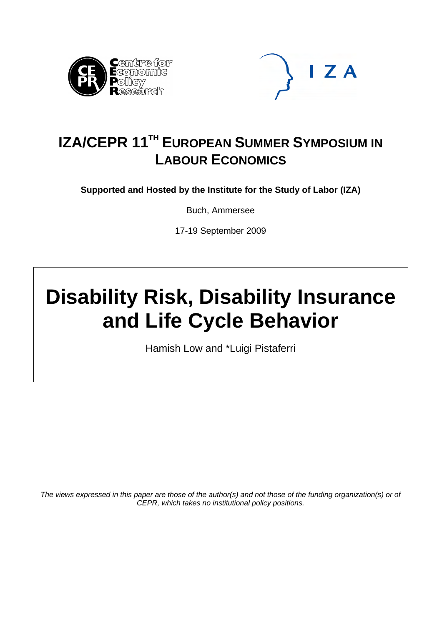



# **IZA/CEPR 11TH EUROPEAN SUMMER SYMPOSIUM IN LABOUR ECONOMICS**

**Supported and Hosted by the Institute for the Study of Labor (IZA)** 

Buch, Ammersee

17-19 September 2009

# **Disability Risk, Disability Insurance and Life Cycle Behavior**

Hamish Low and \*Luigi Pistaferri

*The views expressed in this paper are those of the author(s) and not those of the funding organization(s) or of CEPR, which takes no institutional policy positions.*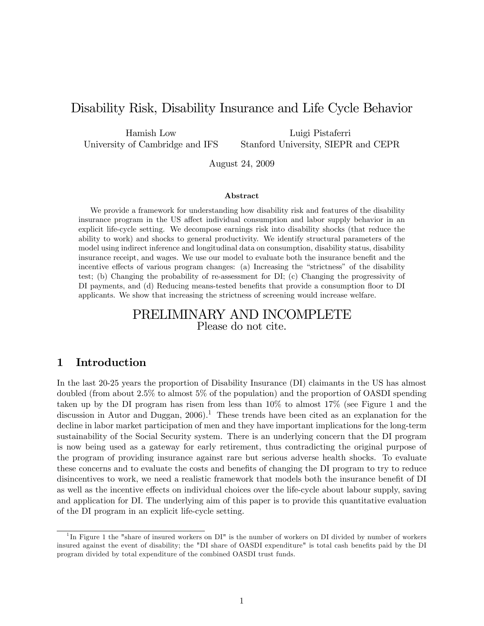# Disability Risk, Disability Insurance and Life Cycle Behavior

Hamish Low University of Cambridge and IFS

Luigi Pistaferri Stanford University, SIEPR and CEPR

August 24, 2009

#### Abstract

We provide a framework for understanding how disability risk and features of the disability insurance program in the US affect individual consumption and labor supply behavior in an explicit life-cycle setting. We decompose earnings risk into disability shocks (that reduce the ability to work) and shocks to general productivity. We identify structural parameters of the model using indirect inference and longitudinal data on consumption, disability status, disability insurance receipt, and wages. We use our model to evaluate both the insurance benefit and the incentive effects of various program changes: (a) Increasing the "strictness" of the disability test; (b) Changing the probability of re-assessment for DI; (c) Changing the progressivity of DI payments, and (d) Reducing means-tested benefits that provide a consumption floor to DI applicants. We show that increasing the strictness of screening would increase welfare.

# PRELIMINARY AND INCOMPLETE Please do not cite.

# 1 Introduction

In the last 20-25 years the proportion of Disability Insurance (DI) claimants in the US has almost doubled (from about 2.5% to almost 5% of the population) and the proportion of OASDI spending taken up by the DI program has risen from less than 10% to almost 17% (see Figure 1 and the discussion in Autor and Duggan,  $2006$ ).<sup>1</sup> These trends have been cited as an explanation for the decline in labor market participation of men and they have important implications for the long-term sustainability of the Social Security system. There is an underlying concern that the DI program is now being used as a gateway for early retirement, thus contradicting the original purpose of the program of providing insurance against rare but serious adverse health shocks. To evaluate these concerns and to evaluate the costs and benefits of changing the DI program to try to reduce disincentives to work, we need a realistic framework that models both the insurance benefit of DI as well as the incentive effects on individual choices over the life-cycle about labour supply, saving and application for DI. The underlying aim of this paper is to provide this quantitative evaluation of the DI program in an explicit life-cycle setting.

<sup>&</sup>lt;sup>1</sup>In Figure 1 the "share of insured workers on DI" is the number of workers on DI divided by number of workers insured against the event of disability; the "DI share of OASDI expenditure" is total cash benefits paid by the DI program divided by total expenditure of the combined OASDI trust funds.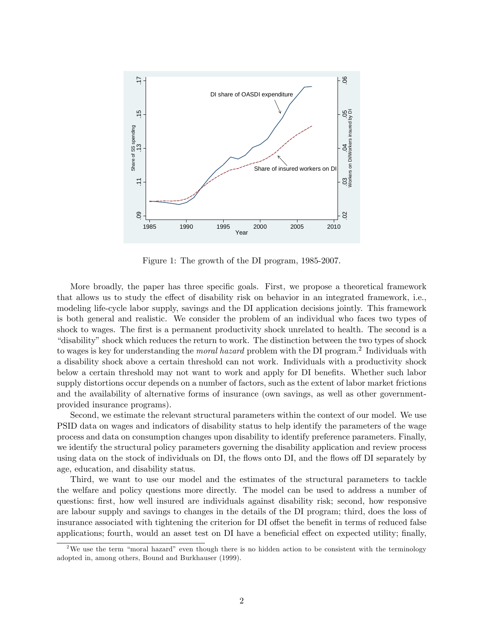

Figure 1: The growth of the DI program, 1985-2007.

More broadly, the paper has three specific goals. First, we propose a theoretical framework that allows us to study the effect of disability risk on behavior in an integrated framework, i.e., modeling life-cycle labor supply, savings and the DI application decisions jointly. This framework is both general and realistic. We consider the problem of an individual who faces two types of shock to wages. The first is a permanent productivity shock unrelated to health. The second is a ìdisabilityîshock which reduces the return to work. The distinction between the two types of shock to wages is key for understanding the *moral hazard* problem with the DI program.<sup>2</sup> Individuals with a disability shock above a certain threshold can not work. Individuals with a productivity shock below a certain threshold may not want to work and apply for DI benefits. Whether such labor supply distortions occur depends on a number of factors, such as the extent of labor market frictions and the availability of alternative forms of insurance (own savings, as well as other governmentprovided insurance programs).

Second, we estimate the relevant structural parameters within the context of our model. We use PSID data on wages and indicators of disability status to help identify the parameters of the wage process and data on consumption changes upon disability to identify preference parameters. Finally, we identify the structural policy parameters governing the disability application and review process using data on the stock of individuals on DI, the flows onto DI, and the flows of DI separately by age, education, and disability status.

Third, we want to use our model and the estimates of the structural parameters to tackle the welfare and policy questions more directly. The model can be used to address a number of questions: first, how well insured are individuals against disability risk; second, how responsive are labour supply and savings to changes in the details of the DI program; third, does the loss of insurance associated with tightening the criterion for DI offset the benefit in terms of reduced false applications; fourth, would an asset test on DI have a beneficial effect on expected utility; finally,

<sup>&</sup>lt;sup>2</sup>We use the term "moral hazard" even though there is no hidden action to be consistent with the terminology adopted in, among others, Bound and Burkhauser (1999).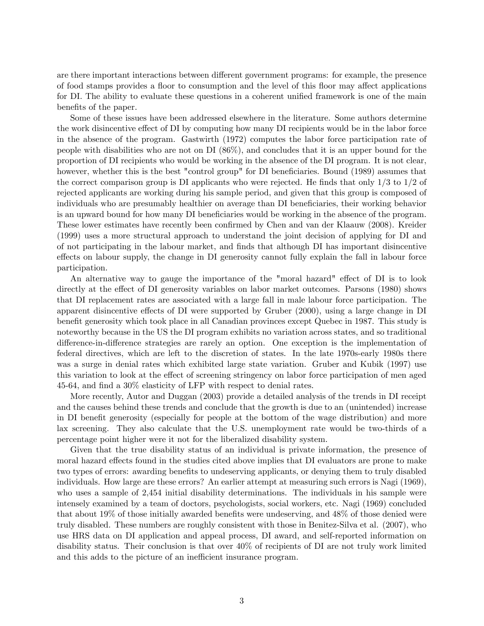are there important interactions between different government programs: for example, the presence of food stamps provides a floor to consumption and the level of this floor may affect applications for DI. The ability to evaluate these questions in a coherent unified framework is one of the main benefits of the paper.

Some of these issues have been addressed elsewhere in the literature. Some authors determine the work disincentive effect of DI by computing how many DI recipients would be in the labor force in the absence of the program. Gastwirth (1972) computes the labor force participation rate of people with disabilities who are not on DI (86%), and concludes that it is an upper bound for the proportion of DI recipients who would be working in the absence of the DI program. It is not clear, however, whether this is the best "control group" for DI beneficiaries. Bound (1989) assumes that the correct comparison group is DI applicants who were rejected. He finds that only  $1/3$  to  $1/2$  of rejected applicants are working during his sample period, and given that this group is composed of individuals who are presumably healthier on average than DI beneficiaries, their working behavior is an upward bound for how many DI beneficiaries would be working in the absence of the program. These lower estimates have recently been confirmed by Chen and van der Klaauw (2008). Kreider (1999) uses a more structural approach to understand the joint decision of applying for DI and of not participating in the labour market, and Önds that although DI has important disincentive effects on labour supply, the change in DI generosity cannot fully explain the fall in labour force participation.

An alternative way to gauge the importance of the "moral hazard" effect of DI is to look directly at the effect of DI generosity variables on labor market outcomes. Parsons (1980) shows that DI replacement rates are associated with a large fall in male labour force participation. The apparent disincentive effects of DI were supported by Gruber (2000), using a large change in DI benefit generosity which took place in all Canadian provinces except Quebec in 1987. This study is noteworthy because in the US the DI program exhibits no variation across states, and so traditional difference-in-difference strategies are rarely an option. One exception is the implementation of federal directives, which are left to the discretion of states. In the late 1970s-early 1980s there was a surge in denial rates which exhibited large state variation. Gruber and Kubik (1997) use this variation to look at the effect of screening stringency on labor force participation of men aged 45-64, and find a  $30\%$  elasticity of LFP with respect to denial rates.

More recently, Autor and Duggan (2003) provide a detailed analysis of the trends in DI receipt and the causes behind these trends and conclude that the growth is due to an (unintended) increase in DI benefit generosity (especially for people at the bottom of the wage distribution) and more lax screening. They also calculate that the U.S. unemployment rate would be two-thirds of a percentage point higher were it not for the liberalized disability system.

Given that the true disability status of an individual is private information, the presence of moral hazard effects found in the studies cited above implies that DI evaluators are prone to make two types of errors: awarding benefits to undeserving applicants, or denying them to truly disabled individuals. How large are these errors? An earlier attempt at measuring such errors is Nagi (1969), who uses a sample of 2,454 initial disability determinations. The individuals in his sample were intensely examined by a team of doctors, psychologists, social workers, etc. Nagi (1969) concluded that about 19% of those initially awarded benefits were undeserving, and  $48\%$  of those denied were truly disabled. These numbers are roughly consistent with those in Benitez-Silva et al. (2007), who use HRS data on DI application and appeal process, DI award, and self-reported information on disability status. Their conclusion is that over 40% of recipients of DI are not truly work limited and this adds to the picture of an inefficient insurance program.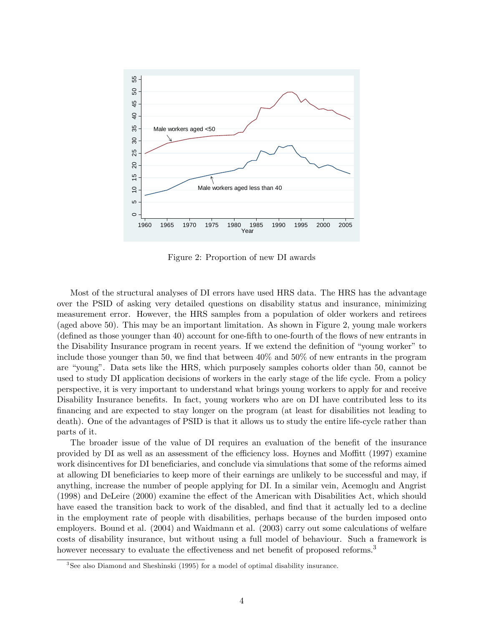

Figure 2: Proportion of new DI awards

Most of the structural analyses of DI errors have used HRS data. The HRS has the advantage over the PSID of asking very detailed questions on disability status and insurance, minimizing measurement error. However, the HRS samples from a population of older workers and retirees (aged above 50). This may be an important limitation. As shown in Figure 2, young male workers (deÖned as those younger than 40) account for one-Öfth to one-fourth of the áows of new entrants in the Disability Insurance program in recent years. If we extend the definition of "young worker" to include those younger than 50, we find that between  $40\%$  and  $50\%$  of new entrants in the program are "young". Data sets like the HRS, which purposely samples cohorts older than 50, cannot be used to study DI application decisions of workers in the early stage of the life cycle. From a policy perspective, it is very important to understand what brings young workers to apply for and receive Disability Insurance benefits. In fact, young workers who are on DI have contributed less to its Önancing and are expected to stay longer on the program (at least for disabilities not leading to death). One of the advantages of PSID is that it allows us to study the entire life-cycle rather than parts of it.

The broader issue of the value of DI requires an evaluation of the benefit of the insurance provided by DI as well as an assessment of the efficiency loss. Hoynes and Moffitt (1997) examine work disincentives for DI beneficiaries, and conclude via simulations that some of the reforms aimed at allowing DI beneficiaries to keep more of their earnings are unlikely to be successful and may, if anything, increase the number of people applying for DI. In a similar vein, Acemoglu and Angrist  $(1998)$  and DeLeire  $(2000)$  examine the effect of the American with Disabilities Act, which should have eased the transition back to work of the disabled, and find that it actually led to a decline in the employment rate of people with disabilities, perhaps because of the burden imposed onto employers. Bound et al. (2004) and Waidmann et al. (2003) carry out some calculations of welfare costs of disability insurance, but without using a full model of behaviour. Such a framework is however necessary to evaluate the effectiveness and net benefit of proposed reforms.<sup>3</sup>

<sup>&</sup>lt;sup>3</sup>See also Diamond and Sheshinski (1995) for a model of optimal disability insurance.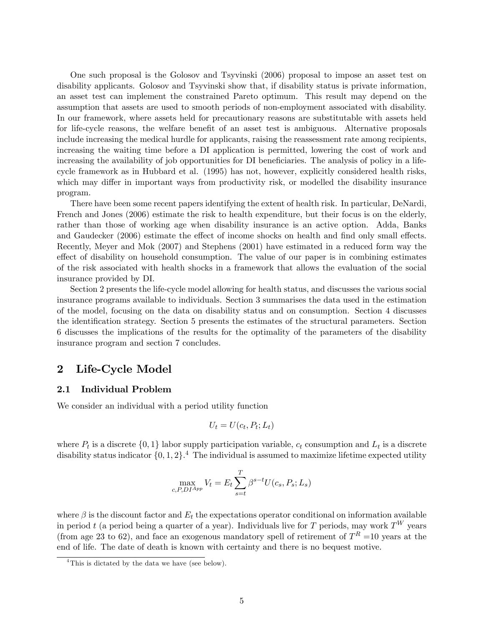One such proposal is the Golosov and Tsyvinski (2006) proposal to impose an asset test on disability applicants. Golosov and Tsyvinski show that, if disability status is private information, an asset test can implement the constrained Pareto optimum. This result may depend on the assumption that assets are used to smooth periods of non-employment associated with disability. In our framework, where assets held for precautionary reasons are substitutable with assets held for life-cycle reasons, the welfare benefit of an asset test is ambiguous. Alternative proposals include increasing the medical hurdle for applicants, raising the reassessment rate among recipients, increasing the waiting time before a DI application is permitted, lowering the cost of work and increasing the availability of job opportunities for DI beneficiaries. The analysis of policy in a lifecycle framework as in Hubbard et al. (1995) has not, however, explicitly considered health risks, which may differ in important ways from productivity risk, or modelled the disability insurance program.

There have been some recent papers identifying the extent of health risk. In particular, DeNardi, French and Jones (2006) estimate the risk to health expenditure, but their focus is on the elderly, rather than those of working age when disability insurance is an active option. Adda, Banks and Gaudecker (2006) estimate the effect of income shocks on health and find only small effects. Recently, Meyer and Mok (2007) and Stephens (2001) have estimated in a reduced form way the effect of disability on household consumption. The value of our paper is in combining estimates of the risk associated with health shocks in a framework that allows the evaluation of the social insurance provided by DI.

Section 2 presents the life-cycle model allowing for health status, and discusses the various social insurance programs available to individuals. Section 3 summarises the data used in the estimation of the model, focusing on the data on disability status and on consumption. Section 4 discusses the identification strategy. Section 5 presents the estimates of the structural parameters. Section 6 discusses the implications of the results for the optimality of the parameters of the disability insurance program and section 7 concludes.

# 2 Life-Cycle Model

#### 2.1 Individual Problem

We consider an individual with a period utility function

$$
U_t = U(c_t, P_t; L_t)
$$

where  $P_t$  is a discrete  $\{0,1\}$  labor supply participation variable,  $c_t$  consumption and  $L_t$  is a discrete disability status indicator  $\{0, 1, 2\}$ .<sup>4</sup> The individual is assumed to maximize lifetime expected utility

$$
\max_{c, P, D I^{App}} V_t = E_t \sum_{s=t}^{T} \beta^{s-t} U(c_s, P_s; L_s)
$$

where  $\beta$  is the discount factor and  $E_t$  the expectations operator conditional on information available in period t (a period being a quarter of a year). Individuals live for T periods, may work  $T^W$  years (from age 23 to 62), and face an exogenous mandatory spell of retirement of  $T<sup>R</sup> = 10$  years at the end of life. The date of death is known with certainty and there is no bequest motive.

<sup>&</sup>lt;sup>4</sup>This is dictated by the data we have (see below).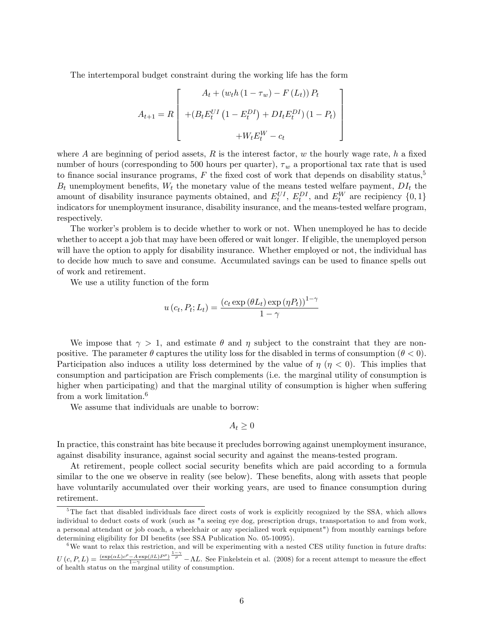The intertemporal budget constraint during the working life has the form

$$
A_{t+1} = R \left[ \begin{array}{c} A_t + (w_t h (1 - \tau_w) - F (L_t)) P_t \\ + (B_t E_t^{UI} (1 - E_t^{DI}) + D I_t E_t^{DI}) (1 - P_t) \\ + W_t E_t^{W} - c_t \end{array} \right]
$$

where A are beginning of period assets, R is the interest factor, w the hourly wage rate, h a fixed number of hours (corresponding to 500 hours per quarter),  $\tau_w$  a proportional tax rate that is used to finance social insurance programs,  $F$  the fixed cost of work that depends on disability status,<sup>5</sup>  $B_t$  unemployment benefits,  $W_t$  the monetary value of the means tested welfare payment,  $DI_t$  the amount of disability insurance payments obtained, and  $E_t^{UI}$ ,  $E_t^{DI}$ , and  $E_t^{W}$  are recipiency  $\{0,1\}$ indicators for unemployment insurance, disability insurance, and the means-tested welfare program, respectively.

The worker's problem is to decide whether to work or not. When unemployed he has to decide whether to accept a job that may have been offered or wait longer. If eligible, the unemployed person will have the option to apply for disability insurance. Whether employed or not, the individual has to decide how much to save and consume. Accumulated savings can be used to finance spells out of work and retirement.

We use a utility function of the form

$$
u\left(c_t, P_t; L_t\right) = \frac{\left(c_t \exp\left(\theta L_t\right) \exp\left(\eta P_t\right)\right)^{1-\gamma}}{1-\gamma}
$$

We impose that  $\gamma > 1$ , and estimate  $\theta$  and  $\eta$  subject to the constraint that they are nonpositive. The parameter  $\theta$  captures the utility loss for the disabled in terms of consumption  $(\theta < 0)$ . Participation also induces a utility loss determined by the value of  $\eta$  ( $\eta$  < 0). This implies that consumption and participation are Frisch complements (i.e. the marginal utility of consumption is higher when participating) and that the marginal utility of consumption is higher when suffering from a work limitation.<sup>6</sup>

We assume that individuals are unable to borrow:

$$
A_t \geq 0
$$

In practice, this constraint has bite because it precludes borrowing against unemployment insurance, against disability insurance, against social security and against the means-tested program.

At retirement, people collect social security benefits which are paid according to a formula similar to the one we observe in reality (see below). These benefits, along with assets that people have voluntarily accumulated over their working years, are used to finance consumption during retirement.

<sup>&</sup>lt;sup>5</sup>The fact that disabled individuals face direct costs of work is explicitly recognized by the SSA, which allows individual to deduct costs of work (such as "a seeing eye dog, prescription drugs, transportation to and from work, a personal attendant or job coach, a wheelchair or any specialized work equipment") from monthly earnings before determining eligibility for DI benefits (see SSA Publication No. 05-10095).

 $6\text{We want to relax this restriction, and will be experimenting with a nested CES utility function in future drafts:}$  $U(c, P, L) = \frac{(\exp(\alpha L)c^{\rho} - A \exp(\beta L)P^{\rho})}{1-\gamma}$  $1-\gamma$  $\frac{1-\gamma}{\rho}$  – AL. See Finkelstein et al. (2008) for a recent attempt to measure the effect of health status on the marginal utility of consumption.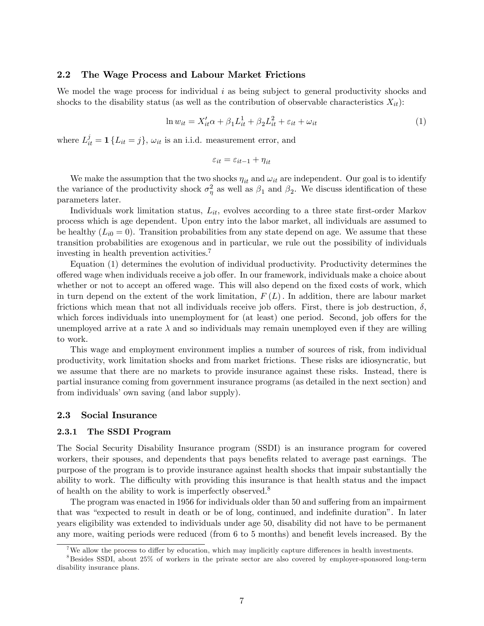#### 2.2 The Wage Process and Labour Market Frictions

We model the wage process for individual  $i$  as being subject to general productivity shocks and shocks to the disability status (as well as the contribution of observable characteristics  $X_{it}$ ):

$$
\ln w_{it} = X_{it}'\alpha + \beta_1 L_{it}^1 + \beta_2 L_{it}^2 + \varepsilon_{it} + \omega_{it}
$$
\n<sup>(1)</sup>

where  $L_{it}^{j} = \mathbf{1} \{ L_{it} = j \}, \omega_{it}$  is an i.i.d. measurement error, and

$$
\varepsilon_{it} = \varepsilon_{it-1} + \eta_{it}
$$

We make the assumption that the two shocks  $\eta_{it}$  and  $\omega_{it}$  are independent. Our goal is to identify the variance of the productivity shock  $\sigma_{\eta}^2$  as well as  $\beta_1$  and  $\beta_2$ . We discuss identification of these parameters later.

Individuals work limitation status,  $L_{it}$ , evolves according to a three state first-order Markov process which is age dependent. Upon entry into the labor market, all individuals are assumed to be healthy  $(L_{i0} = 0)$ . Transition probabilities from any state depend on age. We assume that these transition probabilities are exogenous and in particular, we rule out the possibility of individuals investing in health prevention activities.<sup>7</sup>

Equation (1) determines the evolution of individual productivity. Productivity determines the offered wage when individuals receive a job offer. In our framework, individuals make a choice about whether or not to accept an offered wage. This will also depend on the fixed costs of work, which in turn depend on the extent of the work limitation,  $F(L)$ . In addition, there are labour market frictions which mean that not all individuals receive job offers. First, there is job destruction,  $\delta$ , which forces individuals into unemployment for (at least) one period. Second, job offers for the unemployed arrive at a rate  $\lambda$  and so individuals may remain unemployed even if they are willing to work.

This wage and employment environment implies a number of sources of risk, from individual productivity, work limitation shocks and from market frictions. These risks are idiosyncratic, but we assume that there are no markets to provide insurance against these risks. Instead, there is partial insurance coming from government insurance programs (as detailed in the next section) and from individuals' own saving (and labor supply).

#### 2.3 Social Insurance

#### 2.3.1 The SSDI Program

The Social Security Disability Insurance program (SSDI) is an insurance program for covered workers, their spouses, and dependents that pays benefits related to average past earnings. The purpose of the program is to provide insurance against health shocks that impair substantially the ability to work. The difficulty with providing this insurance is that health status and the impact of health on the ability to work is imperfectly observed.<sup>8</sup>

The program was enacted in 1956 for individuals older than 50 and suffering from an impairment that was "expected to result in death or be of long, continued, and indefinite duration". In later years eligibility was extended to individuals under age 50, disability did not have to be permanent any more, waiting periods were reduced (from  $6 \text{ to } 5$  months) and benefit levels increased. By the

<sup>&</sup>lt;sup>7</sup>We allow the process to differ by education, which may implicitly capture differences in health investments.

<sup>8</sup>Besides SSDI, about 25% of workers in the private sector are also covered by employer-sponsored long-term disability insurance plans.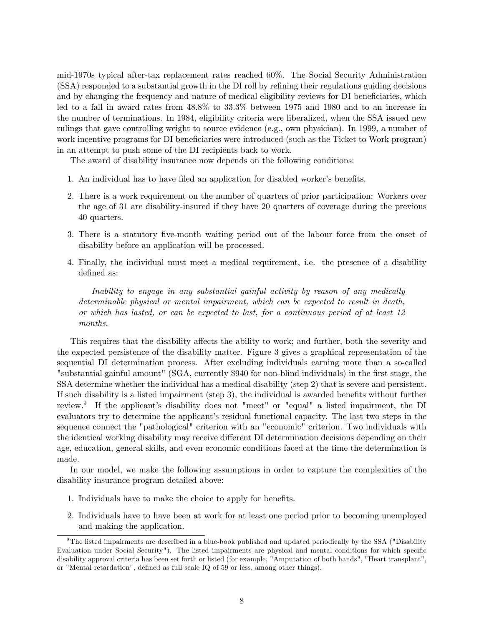mid-1970s typical after-tax replacement rates reached 60%. The Social Security Administration (SSA) responded to a substantial growth in the DI roll by refining their regulations guiding decisions and by changing the frequency and nature of medical eligibility reviews for DI beneficiaries, which led to a fall in award rates from 48.8% to 33.3% between 1975 and 1980 and to an increase in the number of terminations. In 1984, eligibility criteria were liberalized, when the SSA issued new rulings that gave controlling weight to source evidence (e.g., own physician). In 1999, a number of work incentive programs for DI beneficiaries were introduced (such as the Ticket to Work program) in an attempt to push some of the DI recipients back to work.

The award of disability insurance now depends on the following conditions:

- 1. An individual has to have filed an application for disabled worker's benefits.
- 2. There is a work requirement on the number of quarters of prior participation: Workers over the age of 31 are disability-insured if they have 20 quarters of coverage during the previous 40 quarters.
- 3. There is a statutory five-month waiting period out of the labour force from the onset of disability before an application will be processed.
- 4. Finally, the individual must meet a medical requirement, i.e. the presence of a disability defined as:

Inability to engage in any substantial gainful activity by reason of any medically determinable physical or mental impairment, which can be expected to result in death, or which has lasted, or can be expected to last, for a continuous period of at least 12 months.

This requires that the disability affects the ability to work; and further, both the severity and the expected persistence of the disability matter. Figure 3 gives a graphical representation of the sequential DI determination process. After excluding individuals earning more than a so-called "substantial gainful amount" (SGA, currently \$940 for non-blind individuals) in the first stage, the SSA determine whether the individual has a medical disability (step 2) that is severe and persistent. If such disability is a listed impairment (step  $3$ ), the individual is awarded benefits without further review.<sup>9</sup> If the applicant's disability does not "meet" or "equal" a listed impairment, the DI evaluators try to determine the applicant's residual functional capacity. The last two steps in the sequence connect the "pathological" criterion with an "economic" criterion. Two individuals with the identical working disability may receive different DI determination decisions depending on their age, education, general skills, and even economic conditions faced at the time the determination is made.

In our model, we make the following assumptions in order to capture the complexities of the disability insurance program detailed above:

- 1. Individuals have to make the choice to apply for benefits.
- 2. Individuals have to have been at work for at least one period prior to becoming unemployed and making the application.

<sup>&</sup>lt;sup>9</sup>The listed impairments are described in a blue-book published and updated periodically by the SSA ("Disability Evaluation under Social Security"). The listed impairments are physical and mental conditions for which specific disability approval criteria has been set forth or listed (for example, "Amputation of both hands", "Heart transplant", or "Mental retardation", defined as full scale IQ of 59 or less, among other things).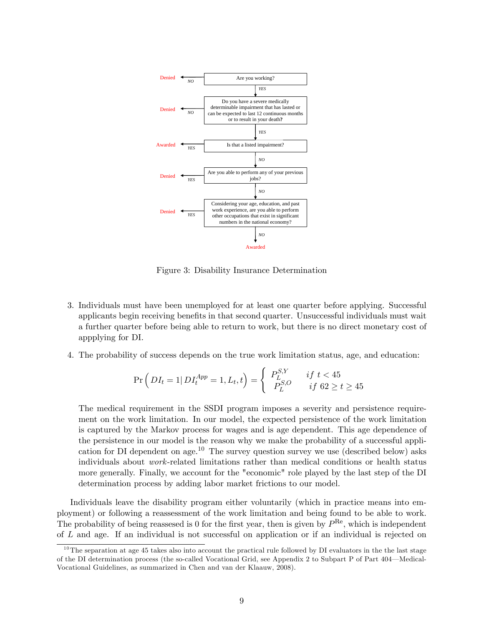

Figure 3: Disability Insurance Determination

- 3. Individuals must have been unemployed for at least one quarter before applying. Successful applicants begin receiving benefits in that second quarter. Unsuccessful individuals must wait a further quarter before being able to return to work, but there is no direct monetary cost of appplying for DI.
- 4. The probability of success depends on the true work limitation status, age, and education:

$$
\Pr\left(DI_t = 1|\, DI_t^{App} = 1, L_t, t\right) = \begin{cases} P_L^{S,Y} & \text{if } t < 45\\ P_L^{S,O} & \text{if } 62 \ge t \ge 45 \end{cases}
$$

The medical requirement in the SSDI program imposes a severity and persistence requirement on the work limitation. In our model, the expected persistence of the work limitation is captured by the Markov process for wages and is age dependent. This age dependence of the persistence in our model is the reason why we make the probability of a successful application for DI dependent on age.<sup>10</sup> The survey question survey we use (described below) asks individuals about work-related limitations rather than medical conditions or health status more generally. Finally, we account for the "economic" role played by the last step of the DI determination process by adding labor market frictions to our model.

Individuals leave the disability program either voluntarily (which in practice means into employment) or following a reassessment of the work limitation and being found to be able to work. The probability of being reassesed is 0 for the first year, then is given by  $P^{\text{Re}}$ , which is independent of L and age. If an individual is not successful on application or if an individual is rejected on

 $10$ The separation at age 45 takes also into account the practical rule followed by DI evaluators in the the last stage of the DI determination process (the so-called Vocational Grid, see Appendix 2 to Subpart P of Part 404—Medical-Vocational Guidelines, as summarized in Chen and van der Klaauw, 2008).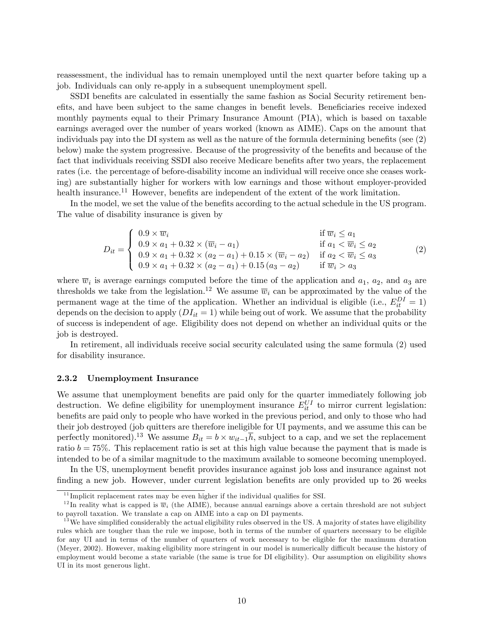reassessment, the individual has to remain unemployed until the next quarter before taking up a job. Individuals can only re-apply in a subsequent unemployment spell.

SSDI benefits are calculated in essentially the same fashion as Social Security retirement beneffts, and have been subject to the same changes in benefit levels. Beneficiaries receive indexed monthly payments equal to their Primary Insurance Amount (PIA), which is based on taxable earnings averaged over the number of years worked (known as AIME). Caps on the amount that individuals pay into the DI system as well as the nature of the formula determining benefits (see  $(2)$ ) below) make the system progressive. Because of the progressivity of the benefits and because of the fact that individuals receiving SSDI also receive Medicare benefits after two years, the replacement rates (i.e. the percentage of before-disability income an individual will receive once she ceases working) are substantially higher for workers with low earnings and those without employer-provided health insurance.<sup>11</sup> However, benefits are independent of the extent of the work limitation.

In the model, we set the value of the benefits according to the actual schedule in the US program. The value of disability insurance is given by

$$
D_{it} = \begin{cases} 0.9 \times \overline{w}_i & \text{if } \overline{w}_i \le a_1 \\ 0.9 \times a_1 + 0.32 \times (\overline{w}_i - a_1) & \text{if } a_1 < \overline{w}_i \le a_2 \\ 0.9 \times a_1 + 0.32 \times (a_2 - a_1) + 0.15 \times (\overline{w}_i - a_2) & \text{if } a_2 < \overline{w}_i \le a_3 \\ 0.9 \times a_1 + 0.32 \times (a_2 - a_1) + 0.15 (a_3 - a_2) & \text{if } \overline{w}_i > a_3 \end{cases} \tag{2}
$$

where  $\overline{w}_i$  is average earnings computed before the time of the application and  $a_1, a_2$ , and  $a_3$  are thresholds we take from the legislation.<sup>12</sup> We assume  $\overline{w}_i$  can be approximated by the value of the permanent wage at the time of the application. Whether an individual is eligible (i.e.,  $E_{it}^{DI} = 1$ ) depends on the decision to apply  $(DI_{it} = 1)$  while being out of work. We assume that the probability of success is independent of age. Eligibility does not depend on whether an individual quits or the job is destroyed.

In retirement, all individuals receive social security calculated using the same formula (2) used for disability insurance.

#### 2.3.2 Unemployment Insurance

We assume that unemployment benefits are paid only for the quarter immediately following job destruction. We define eligibility for unemployment insurance  $E_{it}^{UI}$  to mirror current legislation: benefits are paid only to people who have worked in the previous period, and only to those who had their job destroyed (job quitters are therefore ineligible for UI payments, and we assume this can be perfectly monitored).<sup>13</sup> We assume  $B_{it} = b \times w_{it-1} \overline{h}$ , subject to a cap, and we set the replacement ratio  $b = 75\%$ . This replacement ratio is set at this high value because the payment that is made is intended to be of a similar magnitude to the maximum available to someone becoming unemployed.

In the US, unemployment benefit provides insurance against job loss and insurance against not finding a new job. However, under current legislation benefits are only provided up to 26 weeks

 $11$  Implicit replacement rates may be even higher if the individual qualifies for SSI.

<sup>&</sup>lt;sup>12</sup>In reality what is capped is  $\overline{w}_i$  (the AIME), because annual earnings above a certain threshold are not subject to payroll taxation. We translate a cap on AIME into a cap on DI payments.

 $13$  We have simplified considerably the actual eligibility rules observed in the US. A majority of states have eligibility rules which are tougher than the rule we impose, both in terms of the number of quarters necessary to be eligible for any UI and in terms of the number of quarters of work necessary to be eligible for the maximum duration (Meyer, 2002). However, making eligibility more stringent in our model is numerically difficult because the history of employment would become a state variable (the same is true for DI eligibility). Our assumption on eligibility shows UI in its most generous light.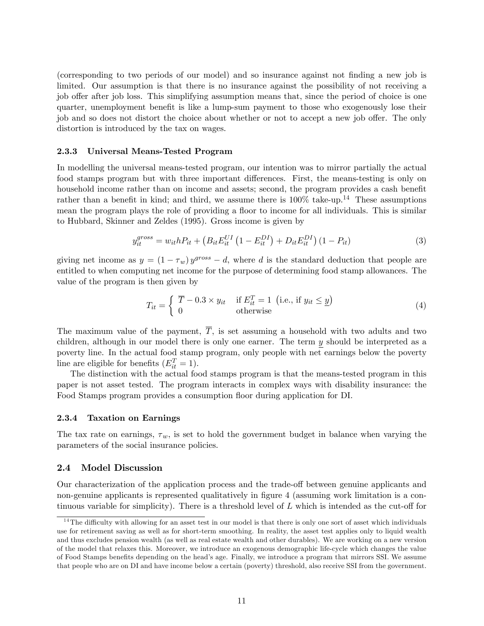(corresponding to two periods of our model) and so insurance against not Önding a new job is limited. Our assumption is that there is no insurance against the possibility of not receiving a job offer after job loss. This simplifying assumption means that, since the period of choice is one quarter, unemployment benefit is like a lump-sum payment to those who exogenously lose their job and so does not distort the choice about whether or not to accept a new job offer. The only distortion is introduced by the tax on wages.

#### 2.3.3 Universal Means-Tested Program

In modelling the universal means-tested program, our intention was to mirror partially the actual food stamps program but with three important differences. First, the means-testing is only on household income rather than on income and assets; second, the program provides a cash benefit rather than a benefit in kind; and third, we assume there is  $100\%$  take-up.<sup>14</sup> These assumptions mean the program plays the role of providing a floor to income for all individuals. This is similar to Hubbard, Skinner and Zeldes (1995). Gross income is given by

$$
y_{it}^{gross} = w_{it} h P_{it} + (B_{it} E_{it}^{UI} (1 - E_{it}^{DI}) + D_{it} E_{it}^{DI}) (1 - P_{it})
$$
\n(3)

giving net income as  $y = (1 - \tau_w)y^{gross} - d$ , where d is the standard deduction that people are entitled to when computing net income for the purpose of determining food stamp allowances. The value of the program is then given by

$$
T_{it} = \begin{cases} \overline{T} - 0.3 \times y_{it} & \text{if } E_{it}^{T} = 1 \text{ (i.e., if } y_{it} \leq \underline{y})\\ 0 & \text{otherwise} \end{cases}
$$
(4)

The maximum value of the payment,  $\overline{T}$ , is set assuming a household with two adults and two children, although in our model there is only one earner. The term  $y$  should be interpreted as a poverty line. In the actual food stamp program, only people with net earnings below the poverty line are eligible for benefits  $(E_{it}^T = 1)$ .

The distinction with the actual food stamps program is that the means-tested program in this paper is not asset tested. The program interacts in complex ways with disability insurance: the Food Stamps program provides a consumption áoor during application for DI.

#### 2.3.4 Taxation on Earnings

The tax rate on earnings,  $\tau_w$ , is set to hold the government budget in balance when varying the parameters of the social insurance policies.

#### 2.4 Model Discussion

Our characterization of the application process and the trade-off between genuine applicants and non-genuine applicants is represented qualitatively in figure 4 (assuming work limitation is a continuous variable for simplicity). There is a threshold level of  $L$  which is intended as the cut-off for

 $14$ The difficulty with allowing for an asset test in our model is that there is only one sort of asset which individuals use for retirement saving as well as for short-term smoothing. In reality, the asset test applies only to liquid wealth and thus excludes pension wealth (as well as real estate wealth and other durables). We are working on a new version of the model that relaxes this. Moreover, we introduce an exogenous demographic life-cycle which changes the value of Food Stamps benefits depending on the head's age. Finally, we introduce a program that mirrors SSI. We assume that people who are on DI and have income below a certain (poverty) threshold, also receive SSI from the government.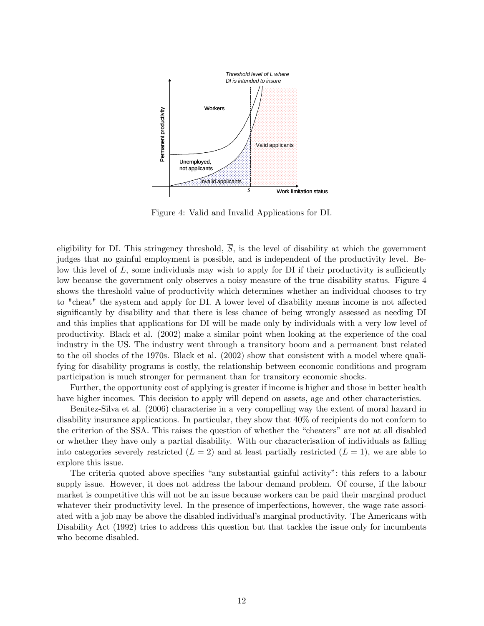

Figure 4: Valid and Invalid Applications for DI.

eligibility for DI. This stringency threshold,  $\overline{S}$ , is the level of disability at which the government judges that no gainful employment is possible, and is independent of the productivity level. Below this level of  $L$ , some individuals may wish to apply for  $DI$  if their productivity is sufficiently low because the government only observes a noisy measure of the true disability status. Figure 4 shows the threshold value of productivity which determines whether an individual chooses to try to "cheat" the system and apply for DI. A lower level of disability means income is not affected significantly by disability and that there is less chance of being wrongly assessed as needing DI and this implies that applications for DI will be made only by individuals with a very low level of productivity. Black et al. (2002) make a similar point when looking at the experience of the coal industry in the US. The industry went through a transitory boom and a permanent bust related to the oil shocks of the 1970s. Black et al. (2002) show that consistent with a model where qualifying for disability programs is costly, the relationship between economic conditions and program participation is much stronger for permanent than for transitory economic shocks.

Further, the opportunity cost of applying is greater if income is higher and those in better health have higher incomes. This decision to apply will depend on assets, age and other characteristics.

Benitez-Silva et al. (2006) characterise in a very compelling way the extent of moral hazard in disability insurance applications. In particular, they show that 40% of recipients do not conform to the criterion of the SSA. This raises the question of whether the "cheaters" are not at all disabled or whether they have only a partial disability. With our characterisation of individuals as falling into categories severely restricted  $(L = 2)$  and at least partially restricted  $(L = 1)$ , we are able to explore this issue.

The criteria quoted above specifies "any substantial gainful activity": this refers to a labour supply issue. However, it does not address the labour demand problem. Of course, if the labour market is competitive this will not be an issue because workers can be paid their marginal product whatever their productivity level. In the presence of imperfections, however, the wage rate associated with a job may be above the disabled individual's marginal productivity. The Americans with Disability Act (1992) tries to address this question but that tackles the issue only for incumbents who become disabled.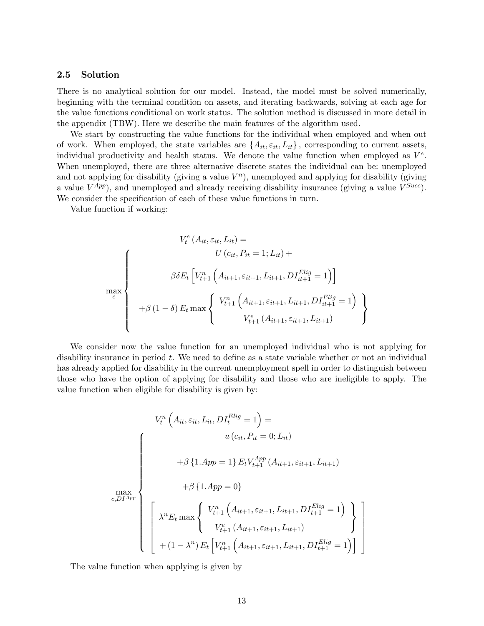#### 2.5 Solution

There is no analytical solution for our model. Instead, the model must be solved numerically, beginning with the terminal condition on assets, and iterating backwards, solving at each age for the value functions conditional on work status. The solution method is discussed in more detail in the appendix (TBW). Here we describe the main features of the algorithm used.

We start by constructing the value functions for the individual when employed and when out of work. When employed, the state variables are  $\{A_{it}, \varepsilon_{it}, L_{it}\}\$ , corresponding to current assets, individual productivity and health status. We denote the value function when employed as  $V^e$ . When unemployed, there are three alternative discrete states the individual can be: unemployed and not applying for disability (giving a value  $V<sup>n</sup>$ ), unemployed and applying for disability (giving a value  $V^{App}$ ), and unemployed and already receiving disability insurance (giving a value  $V^{Succ}$ ). We consider the specification of each of these value functions in turn.

Value function if working:

$$
V_t^e(A_{it}, \varepsilon_{it}, L_{it}) =
$$
\n
$$
\beta \delta E_t \left[ V_{t+1}^n \left( A_{it+1}, \varepsilon_{it+1}, L_{it+1}, D I_{it+1}^{Elig} = 1 \right) \right]
$$
\n
$$
\max_c
$$
\n
$$
+ \beta (1 - \delta) E_t \max \left\{ V_{t+1}^n \left( A_{it+1}, \varepsilon_{it+1}, L_{it+1}, D I_{it+1}^{Elig} = 1 \right) \right\}
$$

We consider now the value function for an unemployed individual who is not applying for disability insurance in period t. We need to define as a state variable whether or not an individual has already applied for disability in the current unemployment spell in order to distinguish between those who have the option of applying for disability and those who are ineligible to apply. The value function when eligible for disability is given by:

$$
V_t^n \left( A_{it}, \varepsilon_{it}, L_{it}, DI_t^{Elig} = 1 \right) =
$$
\n
$$
\int \left\{ \begin{array}{c} u \left( c_{it}, P_{it} = 0; L_{it} \right) \\ + \beta \left\{ 1. App = 1 \right\} E_t V_{t+1}^{App} \left( A_{it+1}, \varepsilon_{it+1}, L_{it+1} \right) \\ + \beta \left\{ 1. App = 0 \right\} \end{array} \right.
$$
\n
$$
\max_{c, DI_{app}} \left\{ \begin{array}{c} V_{t+1}^n \left( A_{it+1}, \varepsilon_{it+1}, L_{it+1}, DI_{t+1}^{Elig} = 1 \right) \\ V_{t+1}^e \left( A_{it+1}, \varepsilon_{it+1}, L_{it+1} \right) \\ + (1 - \lambda^n) E_t \left[ V_{t+1}^n \left( A_{it+1}, \varepsilon_{it+1}, L_{it+1}, DI_{t+1}^{Elig} = 1 \right) \right] \end{array} \right\}
$$

1  $\mathbf{r}$  $\mathbf{I}$  $\mathbf{r}$  $\mathbf{I}$  $\overline{1}$ 

The value function when applying is given by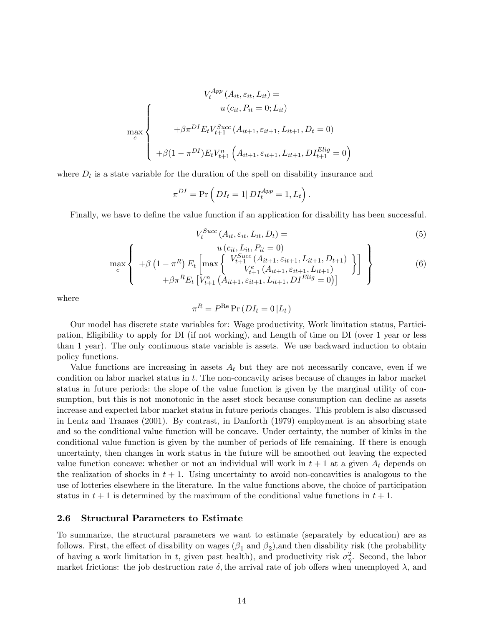$$
V_t^{App} (A_{it}, \varepsilon_{it}, L_{it}) =
$$
  
\n
$$
\max_{c} \left\{\n\begin{array}{c}\nu(c_{it}, P_{it} = 0; L_{it}) \\
+\beta \pi^{DI} E_t V_{t+1}^{Succ} (A_{it+1}, \varepsilon_{it+1}, L_{it+1}, D_t = 0) \\
+\beta (1 - \pi^{DI}) E_t V_{t+1}^n (A_{it+1}, \varepsilon_{it+1}, L_{it+1}, D I_{t+1}^{Elig} = 0)\n\end{array}\n\right\}
$$

where  $D_t$  is a state variable for the duration of the spell on disability insurance and

$$
\pi^{DI} = \Pr\left(DI_t = 1| DI_t^{App} = 1, L_t\right).
$$

Finally, we have to define the value function if an application for disability has been successful.

$$
V_t^{Succ}(A_{it}, \varepsilon_{it}, L_{it}, D_t) = (5)
$$

$$
\max_{c} \left\{ \begin{array}{c} u(c_{it}, L_{it}, P_{it} = 0) \\ +\beta \left(1 - \pi^R\right) E_t \left[ \max_{t+1} \left\{ \begin{array}{c} V_{t+1}^{Succ} \left( A_{it+1}, \varepsilon_{it+1}, L_{it+1}, D_{t+1} \right) \\ V_{t+1}^{Succ} \left( A_{it+1}, \varepsilon_{it+1}, L_{it+1} \right) \\ +\beta \pi^R E_t \left[ V_{t+1}^n \left( A_{it+1}, \varepsilon_{it+1}, L_{it+1}, D I^{Elig} = 0 \right) \right] \end{array} \right\} \right\}
$$
(6)

where

$$
\pi^R = P^{\text{Re}} \Pr(DI_t = 0 | L_t)
$$

Our model has discrete state variables for: Wage productivity, Work limitation status, Participation, Eligibility to apply for DI (if not working), and Length of time on DI (over 1 year or less than 1 year). The only continuous state variable is assets. We use backward induction to obtain policy functions.

Value functions are increasing in assets  $A_t$  but they are not necessarily concave, even if we condition on labor market status in  $t$ . The non-concavity arises because of changes in labor market status in future periods: the slope of the value function is given by the marginal utility of consumption, but this is not monotonic in the asset stock because consumption can decline as assets increase and expected labor market status in future periods changes. This problem is also discussed in Lentz and Tranaes (2001). By contrast, in Danforth (1979) employment is an absorbing state and so the conditional value function will be concave. Under certainty, the number of kinks in the conditional value function is given by the number of periods of life remaining. If there is enough uncertainty, then changes in work status in the future will be smoothed out leaving the expected value function concave: whether or not an individual will work in  $t + 1$  at a given  $A_t$  depends on the realization of shocks in  $t + 1$ . Using uncertainty to avoid non-concavities is analogous to the use of lotteries elsewhere in the literature. In the value functions above, the choice of participation status in  $t + 1$  is determined by the maximum of the conditional value functions in  $t + 1$ .

#### 2.6 Structural Parameters to Estimate

To summarize, the structural parameters we want to estimate (separately by education) are as follows. First, the effect of disability on wages  $(\beta_1 \text{ and } \beta_2)$ , and then disability risk (the probability of having a work limitation in t, given past health), and productivity risk  $\sigma_{\eta}^2$ . Second, the labor market frictions: the job destruction rate  $\delta$ , the arrival rate of job offers when unemployed  $\lambda$ , and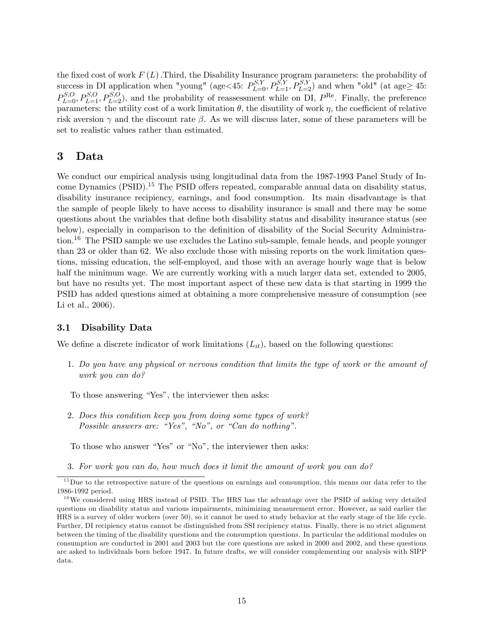the fixed cost of work  $F(L)$ . Third, the Disability Insurance program parameters: the probability of success in DI application when "young" (age < 45:  $P_{L=0}^{S,Y}, P_{L=1}^{S,Y}, P_{L=2}^{S,Y}$ ) and when "old" (at age  $\geq 45$ :  $P_{L=0}^{S,O}, P_{L=1}^{S,O}, P_{L=2}^{S,O}$ , and the probability of reassessment while on DI,  $P^{\text{Re}}$ . Finally, the preference parameters: the utility cost of a work limitation  $\theta$ , the disutility of work  $\eta$ , the coefficient of relative risk aversion  $\gamma$  and the discount rate  $\beta$ . As we will discuss later, some of these parameters will be set to realistic values rather than estimated.

# 3 Data

We conduct our empirical analysis using longitudinal data from the 1987-1993 Panel Study of Income Dynamics (PSID).<sup>15</sup> The PSID offers repeated, comparable annual data on disability status, disability insurance recipiency, earnings, and food consumption. Its main disadvantage is that the sample of people likely to have access to disability insurance is small and there may be some questions about the variables that define both disability status and disability insurance status (see below), especially in comparison to the definition of disability of the Social Security Administration.<sup>16</sup> The PSID sample we use excludes the Latino sub-sample, female heads, and people younger than 23 or older than 62. We also exclude those with missing reports on the work limitation questions, missing education, the self-employed, and those with an average hourly wage that is below half the minimum wage. We are currently working with a much larger data set, extended to 2005, but have no results yet. The most important aspect of these new data is that starting in 1999 the PSID has added questions aimed at obtaining a more comprehensive measure of consumption (see Li et al., 2006).

#### 3.1 Disability Data

We define a discrete indicator of work limitations  $(L_{it})$ , based on the following questions:

1. Do you have any physical or nervous condition that limits the type of work or the amount of work you can do?

To those answering "Yes", the interviewer then asks:

2. Does this condition keep you from doing some types of work? Possible answers are: "Yes", "No", or "Can do nothing".

To those who answer "Yes" or "No", the interviewer then asks:

3. For work you can do, how much does it limit the amount of work you can do?

 $15$  Due to the retrospective nature of the questions on earnings and consumption, this means our data refer to the 1986-1992 period.

 $16$  We considered using HRS instead of PSID. The HRS has the advantage over the PSID of asking very detailed questions on disability status and various impairments, minimizing measurement error. However, as said earlier the HRS is a survey of older workers (over 50), so it cannot be used to study behavior at the early stage of the life cycle. Further, DI recipiency status cannot be distinguished from SSI recipiency status. Finally, there is no strict alignment between the timing of the disability questions and the consumption questions. In particular the additional modules on consumption are conducted in 2001 and 2003 but the core questions are asked in 2000 and 2002, and these questions are asked to individuals born before 1947. In future drafts, we will consider complementing our analysis with SIPP data.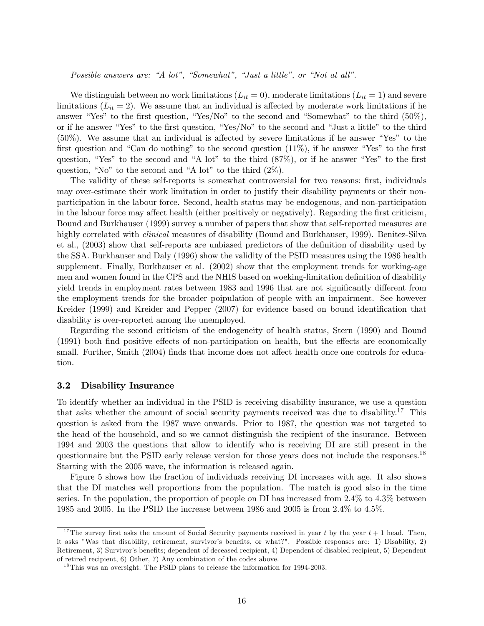Possible answers are: "A lot", "Somewhat", "Just a little", or "Not at all".

We distinguish between no work limitations  $(L_{it} = 0)$ , moderate limitations  $(L_{it} = 1)$  and severe limitations  $(L_{it} = 2)$ . We assume that an individual is affected by moderate work limitations if he answer "Yes" to the first question, "Yes/No" to the second and "Somewhat" to the third  $(50\%)$ , or if he answer "Yes" to the first question, "Yes/No" to the second and "Just a little" to the third  $(50\%)$ . We assume that an individual is affected by severe limitations if he answer "Yes" to the first question and "Can do nothing" to the second question  $(11\%)$ , if he answer "Yes" to the first question, "Yes" to the second and "A lot" to the third  $(87\%)$ , or if he answer "Yes" to the first question, "No" to the second and "A lot" to the third  $(2\%)$ .

The validity of these self-reports is somewhat controversial for two reasons: first, individuals may over-estimate their work limitation in order to justify their disability payments or their nonparticipation in the labour force. Second, health status may be endogenous, and non-participation in the labour force may affect health (either positively or negatively). Regarding the first criticism, Bound and Burkhauser (1999) survey a number of papers that show that self-reported measures are highly correlated with *clinical* measures of disability (Bound and Burkhauser, 1999). Benitez-Silva et al.,  $(2003)$  show that self-reports are unbiased predictors of the definition of disability used by the SSA. Burkhauser and Daly (1996) show the validity of the PSID measures using the 1986 health supplement. Finally, Burkhauser et al. (2002) show that the employment trends for working-age men and women found in the CPS and the NHIS based on woeking-limitation definition of disability yield trends in employment rates between 1983 and 1996 that are not significantly different from the employment trends for the broader poipulation of people with an impairment. See however Kreider (1999) and Kreider and Pepper (2007) for evidence based on bound identification that disability is over-reported among the unemployed.

Regarding the second criticism of the endogeneity of health status, Stern (1990) and Bound  $(1991)$  both find positive effects of non-participation on health, but the effects are economically small. Further, Smith (2004) finds that income does not affect health once one controls for education.

#### 3.2 Disability Insurance

To identify whether an individual in the PSID is receiving disability insurance, we use a question that asks whether the amount of social security payments received was due to disability.<sup>17</sup> This question is asked from the 1987 wave onwards. Prior to 1987, the question was not targeted to the head of the household, and so we cannot distinguish the recipient of the insurance. Between 1994 and 2003 the questions that allow to identify who is receiving DI are still present in the questionnaire but the PSID early release version for those years does not include the responses.<sup>18</sup> Starting with the 2005 wave, the information is released again.

Figure 5 shows how the fraction of individuals receiving DI increases with age. It also shows that the DI matches well proportions from the population. The match is good also in the time series. In the population, the proportion of people on DI has increased from 2.4% to 4.3% between 1985 and 2005. In the PSID the increase between 1986 and 2005 is from 2.4% to 4.5%.

<sup>&</sup>lt;sup>17</sup>The survey first asks the amount of Social Security payments received in year t by the year  $t + 1$  head. Then, it asks "Was that disability, retirement, survivor's benefits, or what?". Possible responses are: 1) Disability, 2) Retirement, 3) Survivor's benefits; dependent of deceased recipient, 4) Dependent of disabled recipient, 5) Dependent of retired recipient, 6) Other, 7) Any combination of the codes above.

<sup>&</sup>lt;sup>18</sup>This was an oversight. The PSID plans to release the information for 1994-2003.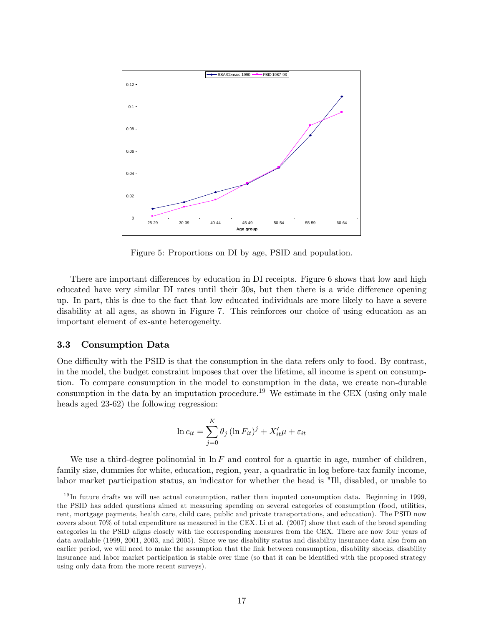

Figure 5: Proportions on DI by age, PSID and population.

There are important differences by education in DI receipts. Figure 6 shows that low and high educated have very similar DI rates until their 30s, but then there is a wide difference opening up. In part, this is due to the fact that low educated individuals are more likely to have a severe disability at all ages, as shown in Figure 7. This reinforces our choice of using education as an important element of ex-ante heterogeneity.

#### 3.3 Consumption Data

One difficulty with the PSID is that the consumption in the data refers only to food. By contrast, in the model, the budget constraint imposes that over the lifetime, all income is spent on consumption. To compare consumption in the model to consumption in the data, we create non-durable consumption in the data by an imputation procedure.<sup>19</sup> We estimate in the CEX (using only male heads aged 23-62) the following regression:

$$
\ln c_{it} = \sum_{j=0}^{K} \theta_j \left( \ln F_{it} \right)^j + X'_{it} \mu + \varepsilon_{it}
$$

We use a third-degree polinomial in  $\ln F$  and control for a quartic in age, number of children, family size, dummies for white, education, region, year, a quadratic in log before-tax family income, labor market participation status, an indicator for whether the head is "Ill, disabled, or unable to

<sup>&</sup>lt;sup>19</sup>In future drafts we will use actual consumption, rather than imputed consumption data. Beginning in 1999, the PSID has added questions aimed at measuring spending on several categories of consumption (food, utilities, rent, mortgage payments, health care, child care, public and private transportations, and education). The PSID now covers about 70% of total expenditure as measured in the CEX. Li et al. (2007) show that each of the broad spending categories in the PSID aligns closely with the corresponding measures from the CEX. There are now four years of data available (1999, 2001, 2003, and 2005). Since we use disability status and disability insurance data also from an earlier period, we will need to make the assumption that the link between consumption, disability shocks, disability insurance and labor market participation is stable over time (so that it can be identified with the proposed strategy using only data from the more recent surveys).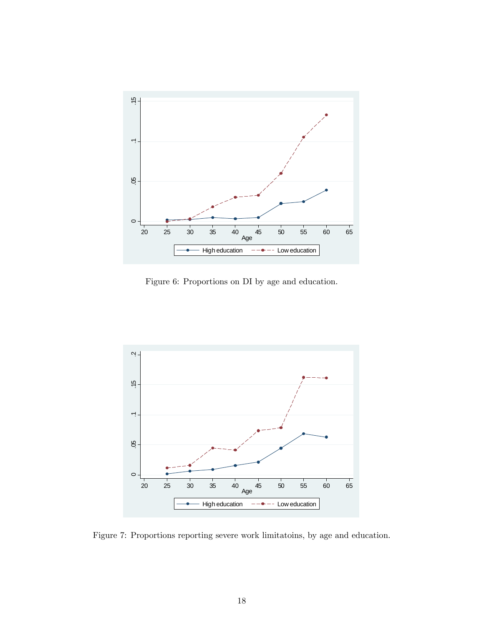

Figure 6: Proportions on DI by age and education.



Figure 7: Proportions reporting severe work limitatoins, by age and education.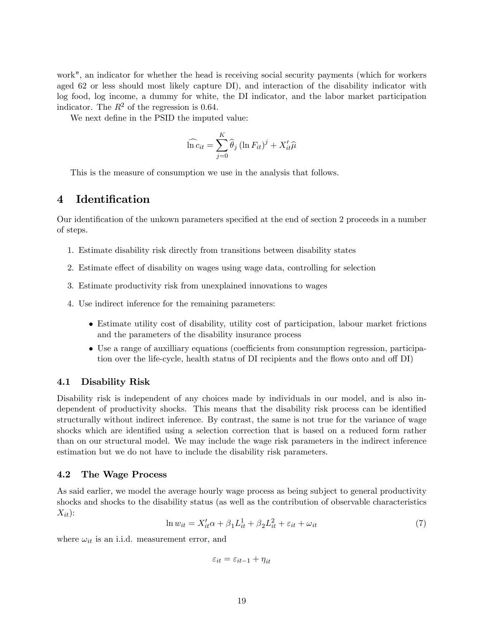work", an indicator for whether the head is receiving social security payments (which for workers aged 62 or less should most likely capture DI), and interaction of the disability indicator with log food, log income, a dummy for white, the DI indicator, and the labor market participation indicator. The  $R^2$  of the regression is 0.64.

We next define in the PSID the imputed value:

$$
\widehat{\ln c}_{it} = \sum_{j=0}^{K} \widehat{\theta}_{j} (\ln F_{it})^{j} + X_{it}' \widehat{\mu}
$$

This is the measure of consumption we use in the analysis that follows.

# 4 Identification

Our identification of the unkown parameters specified at the end of section 2 proceeds in a number of steps.

- 1. Estimate disability risk directly from transitions between disability states
- 2. Estimate effect of disability on wages using wage data, controlling for selection
- 3. Estimate productivity risk from unexplained innovations to wages
- 4. Use indirect inference for the remaining parameters:
	- Estimate utility cost of disability, utility cost of participation, labour market frictions and the parameters of the disability insurance process
	- Use a range of auxilliary equations (coefficients from consumption regression, participation over the life-cycle, health status of DI recipients and the flows onto and off DI)

#### 4.1 Disability Risk

Disability risk is independent of any choices made by individuals in our model, and is also independent of productivity shocks. This means that the disability risk process can be identified structurally without indirect inference. By contrast, the same is not true for the variance of wage shocks which are identified using a selection correction that is based on a reduced form rather than on our structural model. We may include the wage risk parameters in the indirect inference estimation but we do not have to include the disability risk parameters.

#### 4.2 The Wage Process

As said earlier, we model the average hourly wage process as being subject to general productivity shocks and shocks to the disability status (as well as the contribution of observable characteristics  $X_{it}$ :

$$
\ln w_{it} = X_{it}'\alpha + \beta_1 L_{it}^1 + \beta_2 L_{it}^2 + \varepsilon_{it} + \omega_{it}
$$
\n<sup>(7)</sup>

where  $\omega_{it}$  is an i.i.d. measurement error, and

$$
\varepsilon_{it}=\varepsilon_{it-1}+\eta_{it}
$$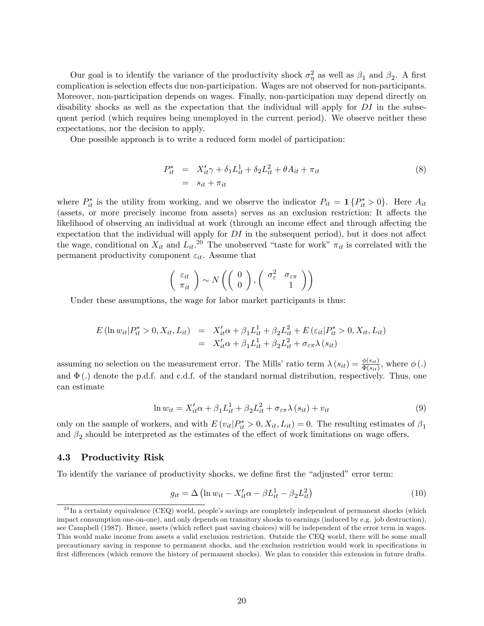Our goal is to identify the variance of the productivity shock  $\sigma_{\eta}^2$  as well as  $\beta_1$  and  $\beta_2$ . A first complication is selection effects due non-participation. Wages are not observed for non-participants. Moreover, non-participation depends on wages. Finally, non-participation may depend directly on disability shocks as well as the expectation that the individual will apply for  $DI$  in the subsequent period (which requires being unemployed in the current period). We observe neither these expectations, nor the decision to apply.

One possible approach is to write a reduced form model of participation:

$$
P_{it}^* = X_{it}'\gamma + \delta_1 L_{it}^1 + \delta_2 L_{it}^2 + \theta A_{it} + \pi_{it}
$$
  
= 
$$
s_{it} + \pi_{it}
$$
 (8)

where  $P_{it}^*$  is the utility from working, and we observe the indicator  $P_{it} = \mathbf{1} \{P_{it}^* > 0\}$ . Here  $A_{it}$ (assets, or more precisely income from assets) serves as an exclusion restriction: It affects the likelihood of observing an individual at work (through an income effect and through affecting the expectation that the individual will apply for  $DI$  in the subsequent period), but it does not affect the wage, conditional on  $X_{it}$  and  $L_{it}$ <sup>20</sup> The unobserved "taste for work"  $\pi_{it}$  is correlated with the permanent productivity component  $\varepsilon_{it}$ . Assume that

$$
\left(\begin{array}{c}\varepsilon_{it} \\ \pi_{it}\end{array}\right) \sim N\left(\left(\begin{array}{c}0 \\ 0\end{array}\right), \left(\begin{array}{cc}\sigma_{\varepsilon}^2 & \sigma_{\varepsilon\pi} \\ 1\end{array}\right)\right)
$$

Under these assumptions, the wage for labor market participants is thus:

$$
E (\ln w_{it} | P_{it}^{*} > 0, X_{it}, L_{it}) = X_{it}' \alpha + \beta_1 L_{it}^1 + \beta_2 L_{it}^2 + E (\varepsilon_{it} | P_{it}^{*} > 0, X_{it}, L_{it})
$$
  
=  $X_{it}' \alpha + \beta_1 L_{it}^1 + \beta_2 L_{it}^2 + \sigma_{\varepsilon \pi} \lambda (s_{it})$ 

assuming no selection on the measurement error. The Mills' ratio term  $\lambda(s_{it}) = \frac{\phi(s_{it})}{\Phi(s_{it})}$ , where  $\phi(.)$ and  $\Phi(.)$  denote the p.d.f. and c.d.f. of the standard normal distribution, respectively. Thus, one can estimate

$$
\ln w_{it} = X_{it}'\alpha + \beta_1 L_{it}^1 + \beta_2 L_{it}^2 + \sigma_{\varepsilon\pi}\lambda(s_{it}) + v_{it}
$$
\n
$$
\tag{9}
$$

only on the sample of workers, and with  $E(v_{it}|P_{it}^* > 0, X_{it}, L_{it}) = 0$ . The resulting estimates of  $\beta_1$ and  $\beta_2$  should be interpreted as the estimates of the effect of work limitations on wage offers.

#### 4.3 Productivity Risk

To identify the variance of productivity shocks, we define first the "adjusted" error term:

$$
g_{it} = \Delta \left( \ln w_{it} - X_{it}' \alpha - \beta L_{it}^1 - \beta_2 L_{it}^2 \right) \tag{10}
$$

 $^{20}$ In a certainty equivalence (CEQ) world, people's savings are completely independent of permanent shocks (which impact consumption one-on-one), and only depends on transitory shocks to earnings (induced by e.g. job destruction), see Campbell (1987). Hence, assets (which reflect past saving choices) will be independent of the error term in wages. This would make income from assets a valid exclusion restriction. Outside the CEQ world, there will be some small precautionary saving in response to permanent shocks, and the exclusion restriction would work in specifications in first differences (which remove the history of permanent shocks). We plan to consider this extension in future drafts.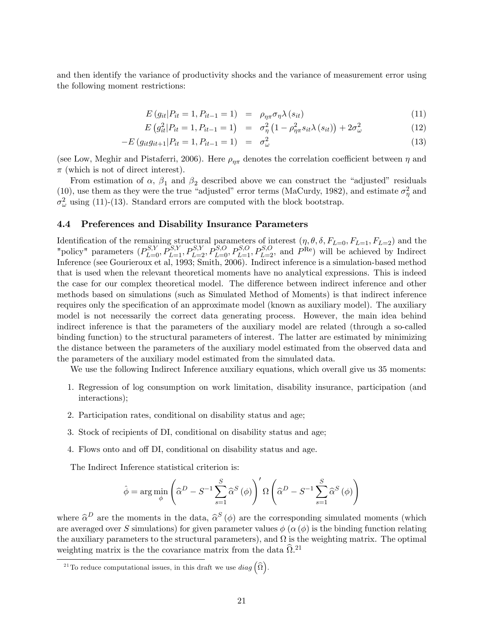and then identify the variance of productivity shocks and the variance of measurement error using the following moment restrictions:

$$
E(g_{it}|P_{it}=1, P_{it-1}=1) = \rho_{\eta\pi}\sigma_{\eta}\lambda(s_{it}) \qquad (11)
$$

$$
E(g_{it}^2|P_{it} = 1, P_{it-1} = 1) = \sigma_{\eta}^2 (1 - \rho_{\eta\pi}^2 s_{it} \lambda(s_{it})) + 2\sigma_{\omega}^2
$$
 (12)

$$
-E(g_{it}g_{it+1}|P_{it}=1, P_{it-1}=1) = \sigma_{\omega}^2 \tag{13}
$$

(see Low, Meghir and Pistaferri, 2006). Here  $\rho_{\eta\pi}$  denotes the correlation coefficient between  $\eta$  and  $\pi$  (which is not of direct interest).

From estimation of  $\alpha$ ,  $\beta_1$  and  $\beta_2$  described above we can construct the "adjusted" residuals (10), use them as they were the true "adjusted" error terms (MaCurdy, 1982), and estimate  $\sigma_{\eta}^2$  and  $\sigma_{\omega}^2$  using (11)-(13). Standard errors are computed with the block bootstrap.

#### 4.4 Preferences and Disability Insurance Parameters

Identification of the remaining structural parameters of interest  $(\eta, \theta, \delta, F_{L=0}, F_{L=1}, F_{L=2})$  and the "policy" parameters  $(P_{L=0}^{S,Y}, P_{L=1}^{S,Y}, P_{L=2}^{S,Y}, P_{L=0}^{S,O}, P_{L=1}^{S,O}, P_{L=2}^{S,O},$  and  $P^{\text{Re}}$ ) will be achieved by Indirect Inference (see Gourieroux et al, 1993; Smith, 2006). Indirect inference is a simulation-based method that is used when the relevant theoretical moments have no analytical expressions. This is indeed the case for our complex theoretical model. The difference between indirect inference and other methods based on simulations (such as Simulated Method of Moments) is that indirect inference requires only the specification of an approximate model (known as auxiliary model). The auxiliary model is not necessarily the correct data generating process. However, the main idea behind indirect inference is that the parameters of the auxiliary model are related (through a so-called binding function) to the structural parameters of interest. The latter are estimated by minimizing the distance between the parameters of the auxiliary model estimated from the observed data and the parameters of the auxiliary model estimated from the simulated data.

We use the following Indirect Inference auxiliary equations, which overall give us 35 moments:

- 1. Regression of log consumption on work limitation, disability insurance, participation (and interactions);
- 2. Participation rates, conditional on disability status and age;
- 3. Stock of recipients of DI, conditional on disability status and age;
- 4. Flows onto and off DI, conditional on disability status and age.

The Indirect Inference statistical criterion is:

$$
\hat{\phi} = \arg\min_{\phi} \left( \hat{\alpha}^D - S^{-1} \sum_{s=1}^S \hat{\alpha}^S (\phi) \right)' \Omega \left( \hat{\alpha}^D - S^{-1} \sum_{s=1}^S \hat{\alpha}^S (\phi) \right)
$$

where  $\hat{\alpha}^D$  are the moments in the data,  $\hat{\alpha}^S(\phi)$  are the corresponding simulated moments (which are averaged over S simulations) for given parameter values  $\phi(\alpha(\phi))$  is the binding function relating the auxiliary parameters to the structural parameters), and  $\Omega$  is the weighting matrix. The optimal weighting matrix is the the covariance matrix from the data  $\widehat{\Omega}^{21}$ 

<sup>&</sup>lt;sup>21</sup>To reduce computational issues, in this draft we use  $diag\left(\widehat{\Omega}\right)$ .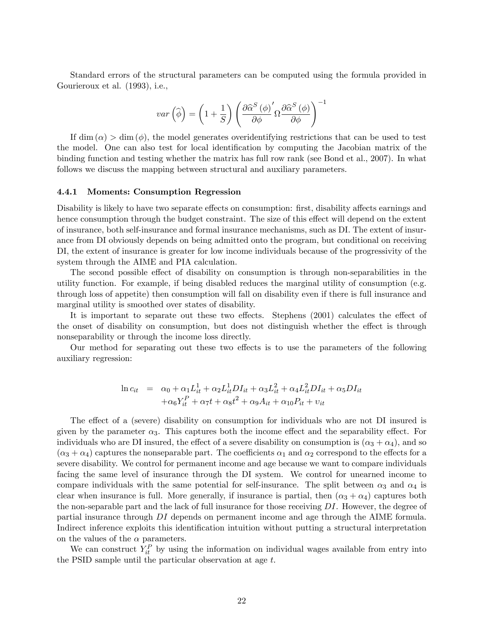Standard errors of the structural parameters can be computed using the formula provided in Gourieroux et al. (1993), i.e.,

$$
var\left(\widehat{\phi}\right) = \left(1 + \frac{1}{S}\right) \left(\frac{\partial \widehat{\alpha}^{S}\left(\phi\right)'}{\partial \phi} \Omega \frac{\partial \widehat{\alpha}^{S}\left(\phi\right)}{\partial \phi}\right)^{-1}
$$

If  $\dim(\alpha) > \dim(\phi)$ , the model generates overidentifying restrictions that can be used to test the model. One can also test for local identification by computing the Jacobian matrix of the binding function and testing whether the matrix has full row rank (see Bond et al., 2007). In what follows we discuss the mapping between structural and auxiliary parameters.

#### 4.4.1 Moments: Consumption Regression

Disability is likely to have two separate effects on consumption: first, disability affects earnings and hence consumption through the budget constraint. The size of this effect will depend on the extent of insurance, both self-insurance and formal insurance mechanisms, such as DI. The extent of insurance from DI obviously depends on being admitted onto the program, but conditional on receiving DI, the extent of insurance is greater for low income individuals because of the progressivity of the system through the AIME and PIA calculation.

The second possible effect of disability on consumption is through non-separabilities in the utility function. For example, if being disabled reduces the marginal utility of consumption (e.g. through loss of appetite) then consumption will fall on disability even if there is full insurance and marginal utility is smoothed over states of disability.

It is important to separate out these two effects. Stephens (2001) calculates the effect of the onset of disability on consumption, but does not distinguish whether the effect is through nonseparability or through the income loss directly.

Our method for separating out these two effects is to use the parameters of the following auxiliary regression:

$$
\ln c_{it} = \alpha_0 + \alpha_1 L_{it}^1 + \alpha_2 L_{it}^1 DI_{it} + \alpha_3 L_{it}^2 + \alpha_4 L_{it}^2 DI_{it} + \alpha_5 DI_{it} + \alpha_6 Y_{it}^P + \alpha_7 t + \alpha_8 t^2 + \alpha_9 A_{it} + \alpha_{10} P_{it} + \nu_{it}
$$

The effect of a (severe) disability on consumption for individuals who are not DI insured is given by the parameter  $\alpha_3$ . This captures both the income effect and the separability effect. For individuals who are DI insured, the effect of a severe disability on consumption is  $(\alpha_3 + \alpha_4)$ , and so  $(\alpha_3 + \alpha_4)$  captures the nonseparable part. The coefficients  $\alpha_1$  and  $\alpha_2$  correspond to the effects for a severe disability. We control for permanent income and age because we want to compare individuals facing the same level of insurance through the DI system. We control for unearned income to compare individuals with the same potential for self-insurance. The split between  $\alpha_3$  and  $\alpha_4$  is clear when insurance is full. More generally, if insurance is partial, then  $(\alpha_3 + \alpha_4)$  captures both the non-separable part and the lack of full insurance for those receiving DI. However, the degree of partial insurance through DI depends on permanent income and age through the AIME formula. Indirect inference exploits this identification intuition without putting a structural interpretation on the values of the  $\alpha$  parameters.

We can construct  $Y_{it}^P$  by using the information on individual wages available from entry into the PSID sample until the particular observation at age t.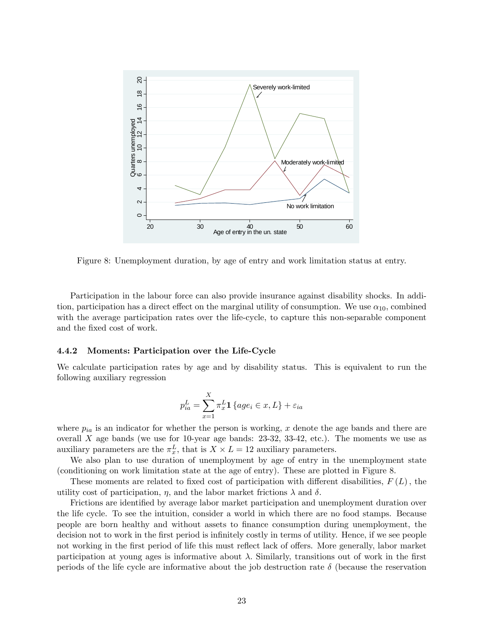

Figure 8: Unemployment duration, by age of entry and work limitation status at entry.

Participation in the labour force can also provide insurance against disability shocks. In addition, participation has a direct effect on the marginal utility of consumption. We use  $\alpha_{10}$ , combined with the average participation rates over the life-cycle, to capture this non-separable component and the fixed cost of work.

#### 4.4.2 Moments: Participation over the Life-Cycle

We calculate participation rates by age and by disability status. This is equivalent to run the following auxiliary regression

$$
p_{ia}^L = \sum_{x=1}^X \pi_x^L \mathbf{1} \{ age_i \in x, L \} + \varepsilon_{ia}
$$

where  $p_{ia}$  is an indicator for whether the person is working, x denote the age bands and there are overall  $X$  age bands (we use for 10-year age bands: 23-32, 33-42, etc.). The moments we use as auxiliary parameters are the  $\pi_x^L$ , that is  $X \times L = 12$  auxiliary parameters.

We also plan to use duration of unemployment by age of entry in the unemployment state (conditioning on work limitation state at the age of entry). These are plotted in Figure 8.

These moments are related to fixed cost of participation with different disabilities,  $F(L)$ , the utility cost of participation,  $\eta$ , and the labor market frictions  $\lambda$  and  $\delta$ .

Frictions are identified by average labor market participation and unemployment duration over the life cycle. To see the intuition, consider a world in which there are no food stamps. Because people are born healthy and without assets to Önance consumption during unemployment, the decision not to work in the first period is infinitely costly in terms of utility. Hence, if we see people not working in the first period of life this must reflect lack of offers. More generally, labor market participation at young ages is informative about  $\lambda$ . Similarly, transitions out of work in the first periods of the life cycle are informative about the job destruction rate  $\delta$  (because the reservation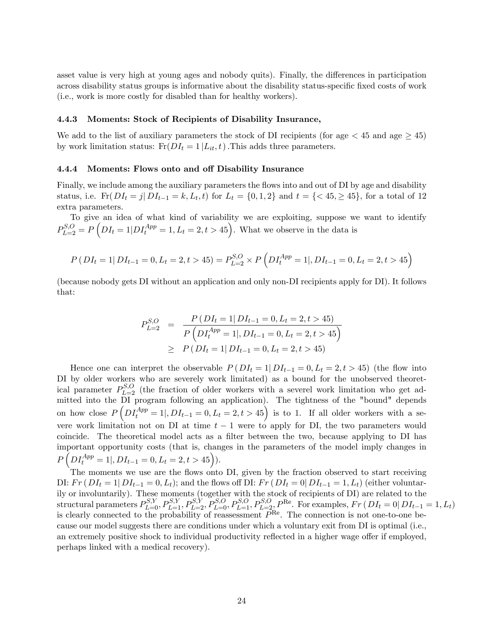asset value is very high at young ages and nobody quits). Finally, the differences in participation across disability status groups is informative about the disability status-specific fixed costs of work (i.e., work is more costly for disabled than for healthy workers).

#### 4.4.3 Moments: Stock of Recipients of Disability Insurance,

We add to the list of auxiliary parameters the stock of DI recipients (for age  $\leq 45$  and age  $\geq 45$ ) by work limitation status:  $F_{\rm r}(DI_t = 1 | L_{it}, t)$ . This adds three parameters.

#### 4.4.4 Moments: Flows onto and off Disability Insurance

Finally, we include among the auxiliary parameters the flows into and out of DI by age and disability status, i.e.  $\text{Fr}(DI_t = j | DI_{t-1} = k, L_t, t)$  for  $L_t = \{0, 1, 2\}$  and  $t = \{<45, \geq 45\}$ , for a total of 12 extra parameters.

To give an idea of what kind of variability we are exploiting, suppose we want to identify  $P_{L=2}^{S,O} = P\left(DI_t = 1|D I_t^{App} = 1, L_t = 2, t > 45\right)$ . What we observe in the data is

$$
P(DI_t = 1 | DI_{t-1} = 0, L_t = 2, t > 45) = P_{L=2}^{S,O} \times P(DI_t^{App} = 1 |, DI_{t-1} = 0, L_t = 2, t > 45)
$$

(because nobody gets DI without an application and only non-DI recipients apply for DI). It follows that:

$$
P_{L=2}^{S,O} = \frac{P(DI_t = 1|DI_{t-1} = 0, L_t = 2, t > 45)}{P(DI_t^{App} = 1|, DI_{t-1} = 0, L_t = 2, t > 45)}
$$
  
\n
$$
\geq P(DI_t = 1|DI_{t-1} = 0, L_t = 2, t > 45)
$$

Hence one can interpret the observable  $P(DI_t = 1|DI_{t-1} = 0, L_t = 2, t > 45)$  (the flow into DI by older workers who are severely work limitated) as a bound for the unobserved theoretical parameter  $P_{L=2}^{S,O}$  (the fraction of older workers with a severel work limitation who get admitted into the DI program following an application). The tightness of the "bound" depends on how close  $P\left(DI_t^{App} = 1 |, DI_{t-1} = 0, L_t = 2, t > 45\right)$  is to 1. If all older workers with a severe work limitation not on DI at time  $t-1$  were to apply for DI, the two parameters would coincide. The theoretical model acts as a filter between the two, because applying to DI has important opportunity costs (that is, changes in the parameters of the model imply changes in  $P\left(DI_t^{App} = 1 |, DI_{t-1} = 0, L_t = 2, t > 45\right)).$ 

The moments we use are the flows onto DI, given by the fraction observed to start receiving DI:  $Fr(DI_t = 1|DI_{t-1} = 0, L_t);$  and the flows off DI:  $Fr(DI_t = 0|DI_{t-1} = 1, L_t)$  (either voluntarily or involuntarily). These moments (together with the stock of recipients of DI) are related to the structural parameters  $P_{L=0}^{S,Y}, P_{L=1}^{S,Y}, P_{L=2}^{S,Y}, P_{L=0}^{S,O}, P_{L=1}^{S,O}, P_{L=2}^{R,e}$ . For examples,  $Fr(DI_t = 0|DI_{t-1} = 1, L_t)$ is clearly connected to the probability of reassessment  $P^{\text{Re}}$ . The connection is not one-to-one because our model suggests there are conditions under which a voluntary exit from DI is optimal (i.e., an extremely positive shock to individual productivity reflected in a higher wage offer if employed, perhaps linked with a medical recovery).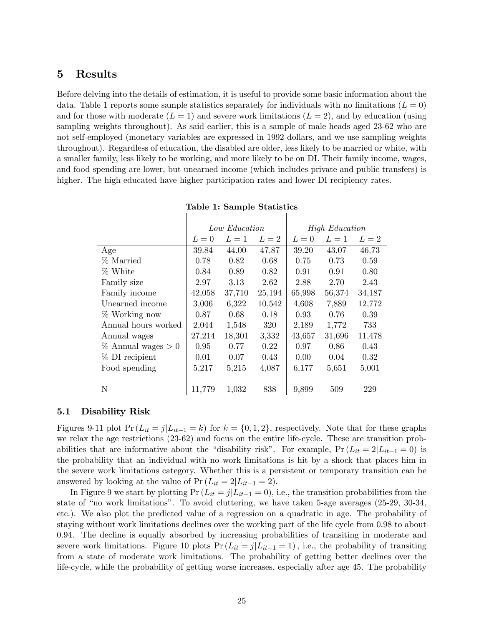# 5 Results

Before delving into the details of estimation, it is useful to provide some basic information about the data. Table 1 reports some sample statistics separately for individuals with no limitations  $(L = 0)$ and for those with moderate  $(L = 1)$  and severe work limitations  $(L = 2)$ , and by education (using sampling weights throughout). As said earlier, this is a sample of male heads aged 23-62 who are not self-employed (monetary variables are expressed in 1992 dollars, and we use sampling weights throughout). Regardless of education, the disabled are older, less likely to be married or white, with a smaller family, less likely to be working, and more likely to be on DI. Their family income, wages, and food spending are lower, but unearned income (which includes private and public transfers) is higher. The high educated have higher participation rates and lower DI recipiency rates.

|                       | Low Education |        |        | <b>High Education</b> |        |        |
|-----------------------|---------------|--------|--------|-----------------------|--------|--------|
|                       | $L=0$         | $L=1$  | $L=2$  | $L=0$                 | $L=1$  | $L=2$  |
| Age                   | 39.84         | 44.00  | 47.87  | 39.20                 | 43.07  | 46.73  |
| % Married             | 0.78          | 0.82   | 0.68   | 0.75                  | 0.73   | 0.59   |
| % White               | 0.84          | 0.89   | 0.82   | 0.91                  | 0.91   | 0.80   |
| Family size           | 2.97          | 3.13   | 2.62   | 2.88                  | 2.70   | 2.43   |
| Family income         | 42,058        | 37,710 | 25,194 | 65,998                | 56,374 | 34,187 |
| Unearned income       | 3,006         | 6,322  | 10,542 | 4,608                 | 7,889  | 12,772 |
| $%$ Working now       | 0.87          | 0.68   | 0.18   | 0.93                  | 0.76   | 0.39   |
| Annual hours worked   | 2,044         | 1,548  | 320    | 2,189                 | 1,772  | 733    |
| Annual wages          | 27,214        | 18,301 | 3,332  | 43,657                | 31,696 | 11,478 |
| $%$ Annual wages $>0$ | 0.95          | 0.77   | 0.22   | 0.97                  | 0.86   | 0.43   |
| % DI recipient        | 0.01          | 0.07   | 0.43   | 0.00                  | 0.04   | 0.32   |
| Food spending         | 5,217         | 5,215  | 4,087  | 6,177                 | 5,651  | 5,001  |
|                       |               |        |        |                       |        |        |
| N                     | 11,779        | 1,032  | 838    | 9,899                 | 509    | 229    |

|  |  |  | Table 1: Sample Statistics |
|--|--|--|----------------------------|
|--|--|--|----------------------------|

 $\overline{\phantom{a}}$ 

 $\overline{\phantom{a}}$ 

#### 5.1 Disability Risk

Figures 9-11 plot  $Pr(L_{it} = j|L_{it-1} = k)$  for  $k = \{0, 1, 2\}$ , respectively. Note that for these graphs we relax the age restrictions (23-62) and focus on the entire life-cycle. These are transition probabilities that are informative about the "disability risk". For example,  $Pr (L_{it} = 2|L_{it-1} = 0)$  is the probability that an individual with no work limitations is hit by a shock that places him in the severe work limitations category. Whether this is a persistent or temporary transition can be answered by looking at the value of  $Pr(L_{it} = 2|L_{it-1} = 2)$ .

In Figure 9 we start by plotting  $Pr(L_{it} = j | L_{it-1} = 0)$ , i.e., the transition probabilities from the state of "no work limitations". To avoid cluttering, we have taken 5-age averages  $(25-29, 30-34, ...)$ etc.). We also plot the predicted value of a regression on a quadratic in age. The probability of staying without work limitations declines over the working part of the life cycle from 0.98 to about 0.94. The decline is equally absorbed by increasing probabilities of transiting in moderate and severe work limitations. Figure 10 plots  $Pr(L_{it} = j | L_{it-1} = 1)$ , i.e., the probability of transiting from a state of moderate work limitations. The probability of getting better declines over the life-cycle, while the probability of getting worse increases, especially after age 45. The probability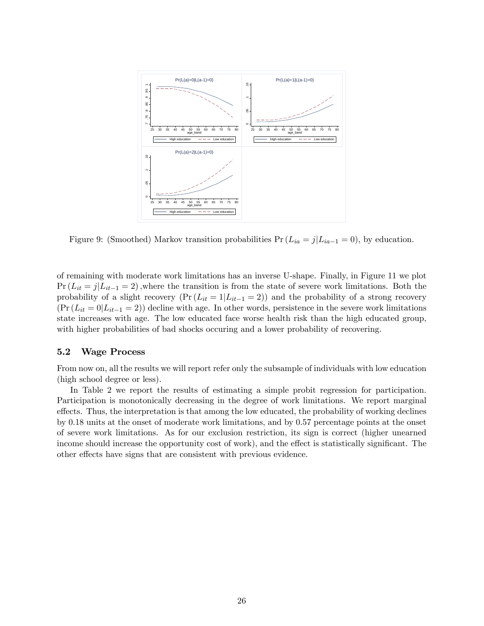

Figure 9: (Smoothed) Markov transition probabilities  $Pr(L_{ia} = j | L_{ia-1} = 0)$ , by education.

of remaining with moderate work limitations has an inverse U-shape. Finally, in Figure 11 we plot  $Pr(L_{it} = j|L_{it-1} = 2)$ , where the transition is from the state of severe work limitations. Both the probability of a slight recovery  $(\Pr(L_{it} = 1 | L_{it-1} = 2))$  and the probability of a strong recovery  $(\Pr (L_{it} = 0 | L_{it-1} = 2))$  decline with age. In other words, persistence in the severe work limitations state increases with age. The low educated face worse health risk than the high educated group, with higher probabilities of bad shocks occuring and a lower probability of recovering.

#### 5.2 Wage Process

From now on, all the results we will report refer only the subsample of individuals with low education (high school degree or less).

In Table 2 we report the results of estimating a simple probit regression for participation. Participation is monotonically decreasing in the degree of work limitations. We report marginal effects. Thus, the interpretation is that among the low educated, the probability of working declines by 0.18 units at the onset of moderate work limitations, and by 0.57 percentage points at the onset of severe work limitations. As for our exclusion restriction, its sign is correct (higher unearned income should increase the opportunity cost of work), and the effect is statistically significant. The other effects have signs that are consistent with previous evidence.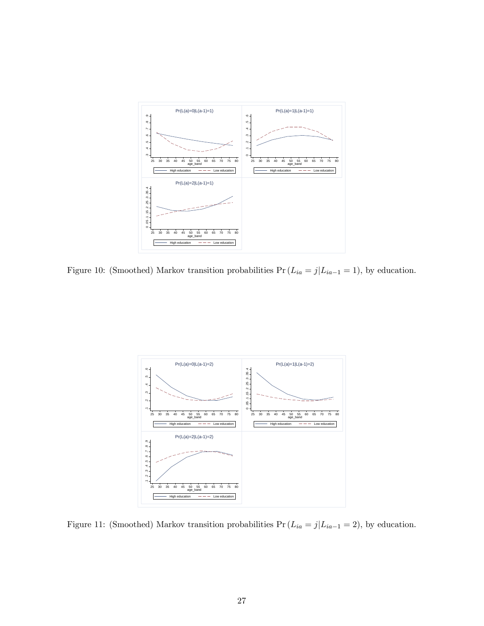

Figure 10: (Smoothed) Markov transition probabilities  $Pr(L_{ia} = j | L_{ia-1} = 1)$ , by education.



Figure 11: (Smoothed) Markov transition probabilities  $Pr(L_{ia} = j|L_{ia-1} = 2)$ , by education.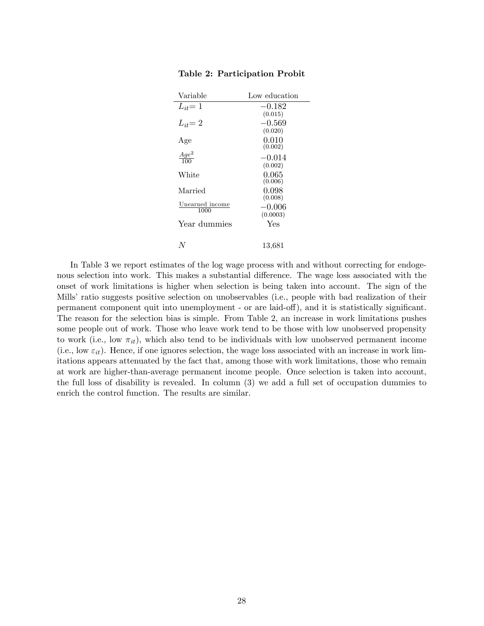| Variable                | Low education |
|-------------------------|---------------|
| $L_{it}=1$              | $-0.182$      |
|                         | (0.015)       |
| $L_{it}=2$              | $-0.569$      |
|                         | (0.020)       |
| Age                     | 0.010         |
|                         | (0.002)       |
| $\frac{Age^2}{100}$     | $-0.014$      |
|                         | (0.002)       |
| White                   | 0.065         |
|                         | (0.006)       |
| Married                 | 0.098         |
|                         | (0.008)       |
| Unearned income<br>1000 | $-0.006$      |
|                         | (0.0003)      |
| Year dummies            | Yes           |
|                         |               |
|                         | 13,681        |
|                         |               |

#### Table 2: Participation Probit

In Table 3 we report estimates of the log wage process with and without correcting for endogenous selection into work. This makes a substantial difference. The wage loss associated with the onset of work limitations is higher when selection is being taken into account. The sign of the Mills' ratio suggests positive selection on unobservables (i.e., people with bad realization of their permanent component quit into unemployment - or are laid-off), and it is statistically significant. The reason for the selection bias is simple. From Table 2, an increase in work limitations pushes some people out of work. Those who leave work tend to be those with low unobserved propensity to work (i.e., low  $\pi_{it}$ ), which also tend to be individuals with low unobserved permanent income (i.e., low  $\varepsilon_{it}$ ). Hence, if one ignores selection, the wage loss associated with an increase in work limitations appears attenuated by the fact that, among those with work limitations, those who remain at work are higher-than-average permanent income people. Once selection is taken into account, the full loss of disability is revealed. In column (3) we add a full set of occupation dummies to enrich the control function. The results are similar.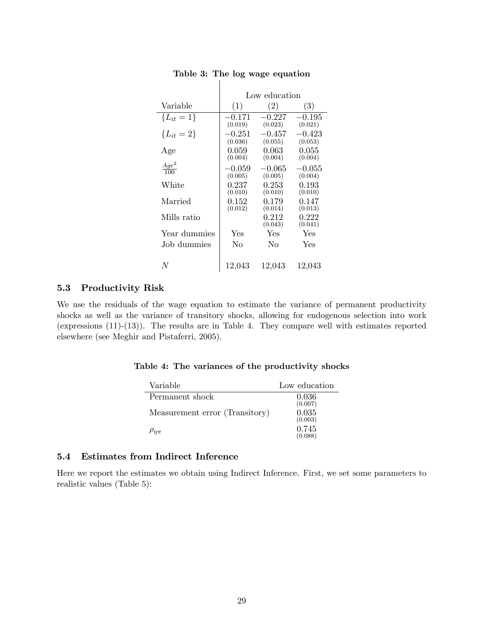|                     | Low education |                  |                  |  |  |
|---------------------|---------------|------------------|------------------|--|--|
| Variable            | (1)           | (2)              | (3)              |  |  |
| ${L_{it} = 1}$      | $-0.171$      | $-0.227$         | $-0.195$         |  |  |
|                     | (0.019)       | (0.023)          | (0.021)          |  |  |
| ${L_{it} = 2}$      | $-0.251$      | $-0.457$         | $-0.423$         |  |  |
|                     | (0.036)       | (0.055)          | (0.053)          |  |  |
| Age                 | 0.059         | 0.063            | 0.055            |  |  |
|                     | (0.004)       | (0.004)          | (0.004)          |  |  |
| $\frac{Age^2}{100}$ | $-0.059$      | $-0.065$         | $-0.055$         |  |  |
|                     | (0.005)       | (0.005)          | (0.004)          |  |  |
| White               | 0.237         | $\rm 0.253$      | 0.193            |  |  |
|                     | (0.010)       | (0.010)          | (0.010)          |  |  |
| Married             | 0.152         | 0.179            | 0.147            |  |  |
|                     | (0.012)       | (0.014)          | (0.013)          |  |  |
| Mills ratio         |               | 0.212<br>(0.043) | 0.222<br>(0.041) |  |  |
| Year dummies        | Yes           | Yes              | Yes              |  |  |
| Job dummies         | No            | Nο               | Yes              |  |  |
| N                   | 12,043        | 12,043           | 12,043           |  |  |

#### Table 3: The log wage equation

 $\mathbb{I}$ 

#### 5.3 Productivity Risk

We use the residuals of the wage equation to estimate the variance of permanent productivity shocks as well as the variance of transitory shocks, allowing for endogenous selection into work (expressions (11)-(13)). The results are in Table 4. They compare well with estimates reported elsewhere (see Meghir and Pistaferri, 2005).

#### Table 4: The variances of the productivity shocks

| Variable                       | Low education    |
|--------------------------------|------------------|
| Permanent shock                | 0.036            |
| Measurement error (Transitory) | (0.007)<br>0.035 |
|                                | (0.003)<br>0.745 |
| $\rho_{n\pi}$                  | (0.088)          |

### 5.4 Estimates from Indirect Inference

Here we report the estimates we obtain using Indirect Inference. First, we set some parameters to realistic values (Table 5):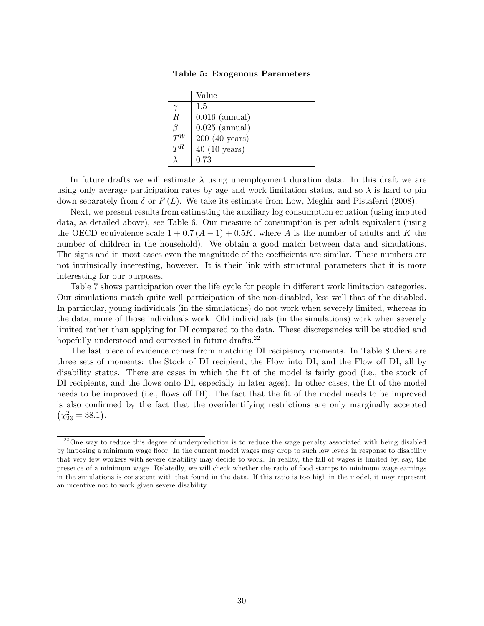Table 5: Exogenous Parameters

|        | Value                   |
|--------|-------------------------|
|        | 1.5                     |
| $\, R$ | $0.016$ (annual)        |
|        | $0.025$ (annual)        |
|        | $200(40 \text{ years})$ |
| $T^R$  | $40(10 \text{ years})$  |
|        | 0.73                    |

In future drafts we will estimate  $\lambda$  using unemployment duration data. In this draft we are using only average participation rates by age and work limitation status, and so  $\lambda$  is hard to pin down separately from  $\delta$  or  $F(L)$ . We take its estimate from Low, Meghir and Pistaferri (2008).

Next, we present results from estimating the auxiliary log consumption equation (using imputed data, as detailed above), see Table 6. Our measure of consumption is per adult equivalent (using the OECD equivalence scale  $1 + 0.7(A-1) + 0.5K$ , where A is the number of adults and K the number of children in the household). We obtain a good match between data and simulations. The signs and in most cases even the magnitude of the coefficients are similar. These numbers are not intrinsically interesting, however. It is their link with structural parameters that it is more interesting for our purposes.

Table 7 shows participation over the life cycle for people in different work limitation categories. Our simulations match quite well participation of the non-disabled, less well that of the disabled. In particular, young individuals (in the simulations) do not work when severely limited, whereas in the data, more of those individuals work. Old individuals (in the simulations) work when severely limited rather than applying for DI compared to the data. These discrepancies will be studied and hopefully understood and corrected in future drafts.<sup>22</sup>

The last piece of evidence comes from matching DI recipiency moments. In Table 8 there are three sets of moments: the Stock of DI recipient, the Flow into DI, and the Flow off DI, all by disability status. There are cases in which the fit of the model is fairly good (i.e., the stock of DI recipients, and the flows onto DI, especially in later ages). In other cases, the fit of the model needs to be improved (i.e., flows off DI). The fact that the fit of the model needs to be improved is also confirmed by the fact that the overidentifying restrictions are only marginally accepted  $(\chi^2_{23} = 38.1).$ 

 $22$ One way to reduce this degree of underprediction is to reduce the wage penalty associated with being disabled by imposing a minimum wage floor. In the current model wages may drop to such low levels in response to disability that very few workers with severe disability may decide to work. In reality, the fall of wages is limited by, say, the presence of a minimum wage. Relatedly, we will check whether the ratio of food stamps to minimum wage earnings in the simulations is consistent with that found in the data. If this ratio is too high in the model, it may represent an incentive not to work given severe disability.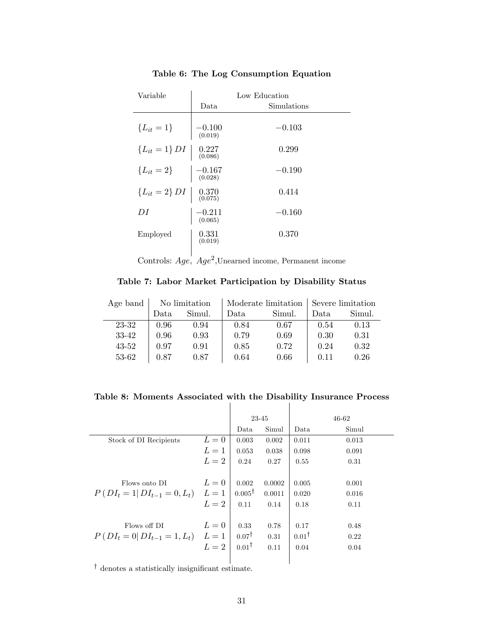| Variable                                                                                    | Low Education                              |             |  |  |  |  |
|---------------------------------------------------------------------------------------------|--------------------------------------------|-------------|--|--|--|--|
|                                                                                             | Data                                       | Simulations |  |  |  |  |
| ${L_{it} = 1}$ $-0.100$<br>(0.019)                                                          |                                            | $-0.103$    |  |  |  |  |
| $\left\{L_{it} = 1\right\} DI \ \left  \begin{array}{c} 0.227 \\ 0.086 \end{array} \right $ |                                            | 0.299       |  |  |  |  |
| ${L_{it} = 2}$ $-0.167$<br>(0.028)                                                          |                                            | $-0.190$    |  |  |  |  |
| ${L_{it} = 2} D I \begin{bmatrix} 0.370 \\ 0.075 \end{bmatrix}$                             |                                            | 0.414       |  |  |  |  |
| DI                                                                                          | $-0.211$<br>(0.065)                        | $-0.160$    |  |  |  |  |
| Employed                                                                                    | $\begin{array}{c} 0.331\ 0.019\end{array}$ | 0.370       |  |  |  |  |

Table 6: The Log Consumption Equation

Controls:  $Age$ ,  $Age^2$ , Unearned income, Permanent income

Table 7: Labor Market Participation by Disability Status

| Age band | No limitation |        |      |        | Moderate limitation Severe limitation |        |
|----------|---------------|--------|------|--------|---------------------------------------|--------|
|          | Data.         | Simul. | Data | Simul. | Data                                  | Simul. |
| 23-32    | 0.96          | 0.94   | 0.84 | 0.67   | 0.54                                  | 0.13   |
| 33-42    | 0.96          | 0.93   | 0.79 | 0.69   | 0.30                                  | 0.31   |
| 43-52    | 0.97          | 0.91   | 0.85 | 0.72   | 0.24                                  | 0.32   |
| 53-62    | 0.87          | 0.87   | 0.64 | 0.66   | 0.11                                  | 0.26   |

Table 8: Moments Associated with the Disability Insurance Process

|                                         |       | 23-45             |        |                  | 46-62 |
|-----------------------------------------|-------|-------------------|--------|------------------|-------|
|                                         |       | Data              | Simul  | Data             | Simul |
| Stock of DI Recipients                  | $L=0$ | 0.003             | 0.002  | 0.011            | 0.013 |
|                                         | $L=1$ | 0.053             | 0.038  | 0.098            | 0.091 |
|                                         | $L=2$ | 0.24              | 0.27   | 0.55             | 0.31  |
|                                         |       |                   |        |                  |       |
| Flows onto DI                           | $L=0$ | 0.002             | 0.0002 | 0.005            | 0.001 |
| $P(DI_t = 1 DI_{t-1} = 0, L_t)$ $L = 1$ |       | $0.005^{\dagger}$ | 0.0011 | 0.020            | 0.016 |
|                                         | $L=2$ | 0.11              | 0.14   | 0.18             | 0.11  |
|                                         |       |                   |        |                  |       |
| Flows off DI                            | $L=0$ | 0.33              | 0.78   | 0.17             | 0.48  |
| $P(DI_t = 0 DI_{t-1} = 1, L_t)$ $L = 1$ |       | $0.07^{\dagger}$  | 0.31   | $0.01^{\dagger}$ | 0.22  |
|                                         | $L=2$ | $0.01^{\dagger}$  | 0.11   | 0.04             | 0.04  |
|                                         |       |                   |        |                  |       |
|                                         |       |                   |        |                  |       |

 $^\dagger$  denotes a statistically insignificant estimate.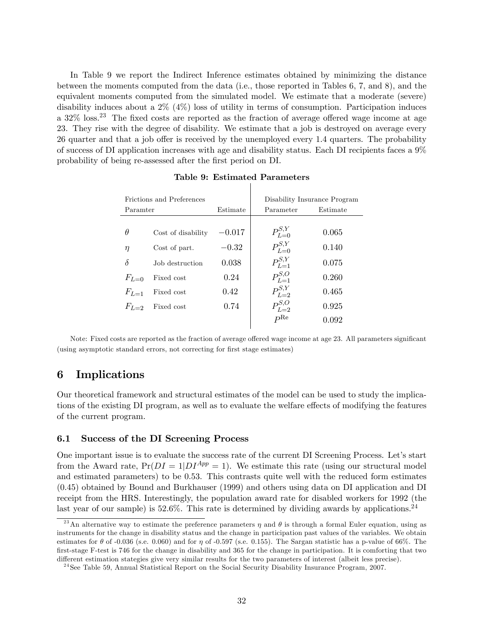In Table 9 we report the Indirect Inference estimates obtained by minimizing the distance between the moments computed from the data (i.e., those reported in Tables 6, 7, and 8), and the equivalent moments computed from the simulated model. We estimate that a moderate (severe) disability induces about a 2% (4%) loss of utility in terms of consumption. Participation induces a  $32\%$  loss.<sup>23</sup> The fixed costs are reported as the fraction of average offered wage income at age 23. They rise with the degree of disability. We estimate that a job is destroyed on average every 26 quarter and that a job offer is received by the unemployed every 1.4 quarters. The probability of success of DI application increases with age and disability status. Each DI recipients faces a 9% probability of being re-assessed after the Örst period on DI.

| Frictions and Preferences |                    |          | Disability Insurance Program |          |  |
|---------------------------|--------------------|----------|------------------------------|----------|--|
| Paramter                  |                    | Estimate | Parameter                    | Estimate |  |
|                           |                    |          |                              |          |  |
| θ                         | Cost of disability | $-0.017$ | $P_{L=0}^{S,Y}$              | 0.065    |  |
| η                         | Cost of part.      | $-0.32$  | $P_{L=0}^{S,Y}$              | 0.140    |  |
| $\delta$                  | Job destruction    | 0.038    | $P_{L=1}^{S,Y}$              | 0.075    |  |
| $F_{L=0}$                 | Fixed cost         | 0.24     | $P_{L=1}^{S,O}$              | 0.260    |  |
| $F_{L-1}$                 | Fixed cost         | 0.42     | $P_{L=2}^{S,Y}$              | 0.465    |  |
| $F_{L-2}$                 | Fixed cost         | 0.74     | $P_{L=2}^{S,O}$              | 0.925    |  |
|                           |                    |          | $P^{\text{Re}}$              | 0.092    |  |

Table 9: Estimated Parameters

Note: Fixed costs are reported as the fraction of average offered wage income at age 23. All parameters significant (using asymptotic standard errors, not correcting for Örst stage estimates)

# 6 Implications

Our theoretical framework and structural estimates of the model can be used to study the implications of the existing DI program, as well as to evaluate the welfare effects of modifying the features of the current program.

#### 6.1 Success of the DI Screening Process

One important issue is to evaluate the success rate of the current DI Screening Process. Let's start from the Award rate,  $Pr(DI = 1|DI^{App} = 1)$ . We estimate this rate (using our structural model and estimated parameters) to be 0.53. This contrasts quite well with the reduced form estimates (0.45) obtained by Bound and Burkhauser (1999) and others using data on DI application and DI receipt from the HRS. Interestingly, the population award rate for disabled workers for 1992 (the last year of our sample) is  $52.6\%$ . This rate is determined by dividing awards by applications.<sup>24</sup>

<sup>&</sup>lt;sup>23</sup>An alternative way to estimate the preference parameters  $\eta$  and  $\theta$  is through a formal Euler equation, using as instruments for the change in disability status and the change in participation past values of the variables. We obtain estimates for  $\theta$  of -0.036 (s.e. 0.060) and for  $\eta$  of -0.597 (s.e. 0.155). The Sargan statistic has a p-value of 66%. The first-stage F-test is 746 for the change in disability and 365 for the change in participation. It is comforting that two different estimation stategies give very similar results for the two parameters of interest (albeit less precise).

<sup>&</sup>lt;sup>24</sup>See Table 59, Annual Statistical Report on the Social Security Disability Insurance Program, 2007.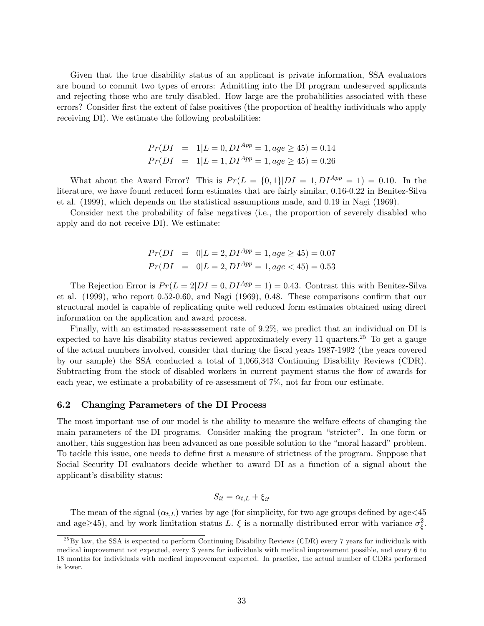Given that the true disability status of an applicant is private information, SSA evaluators are bound to commit two types of errors: Admitting into the DI program undeserved applicants and rejecting those who are truly disabled. How large are the probabilities associated with these errors? Consider first the extent of false positives (the proportion of healthy individuals who apply receiving DI). We estimate the following probabilities:

$$
Pr(DI = 1|L = 0, DI^{App} = 1, age \ge 45) = 0.14
$$
  

$$
Pr(DI = 1|L = 1, DI^{App} = 1, age \ge 45) = 0.26
$$

What about the Award Error? This is  $Pr(L = \{0, 1\}|DI = 1, DI^{App} = 1) = 0.10$ . In the literature, we have found reduced form estimates that are fairly similar, 0.16-0.22 in Benitez-Silva et al. (1999), which depends on the statistical assumptions made, and 0.19 in Nagi (1969).

Consider next the probability of false negatives (i.e., the proportion of severely disabled who apply and do not receive DI). We estimate:

$$
Pr(DI = 0|L = 2, DI^{App} = 1, age \ge 45) = 0.07
$$
  

$$
Pr(DI = 0|L = 2, DI^{App} = 1, age < 45) = 0.53
$$

The Rejection Error is  $Pr(L = 2|DI = 0, DI^{App} = 1) = 0.43$ . Contrast this with Benitez-Silva et al.  $(1999)$ , who report 0.52-0.60, and Nagi  $(1969)$ , 0.48. These comparisons confirm that our structural model is capable of replicating quite well reduced form estimates obtained using direct information on the application and award process.

Finally, with an estimated re-assessement rate of 9.2%, we predict that an individual on DI is expected to have his disability status reviewed approximately every 11 quarters.<sup>25</sup> To get a gauge of the actual numbers involved, consider that during the Öscal years 1987-1992 (the years covered by our sample) the SSA conducted a total of 1,066,343 Continuing Disability Reviews (CDR). Subtracting from the stock of disabled workers in current payment status the flow of awards for each year, we estimate a probability of re-assessment of 7%, not far from our estimate.

#### 6.2 Changing Parameters of the DI Process

The most important use of our model is the ability to measure the welfare effects of changing the main parameters of the DI programs. Consider making the program "stricter". In one form or another, this suggestion has been advanced as one possible solution to the "moral hazard" problem. To tackle this issue, one needs to define first a measure of strictness of the program. Suppose that Social Security DI evaluators decide whether to award DI as a function of a signal about the applicant's disability status:

$$
S_{it} = \alpha_{t,L} + \xi_{it}
$$

The mean of the signal  $(\alpha_{t,L})$  varies by age (for simplicity, for two age groups defined by age <45 and age  $\geq$  45), and by work limitation status L.  $\xi$  is a normally distributed error with variance  $\sigma_{\xi}^2$ .

 $^{25}$ By law, the SSA is expected to perform Continuing Disability Reviews (CDR) every 7 years for individuals with medical improvement not expected, every 3 years for individuals with medical improvement possible, and every 6 to 18 months for individuals with medical improvement expected. In practice, the actual number of CDRs performed is lower.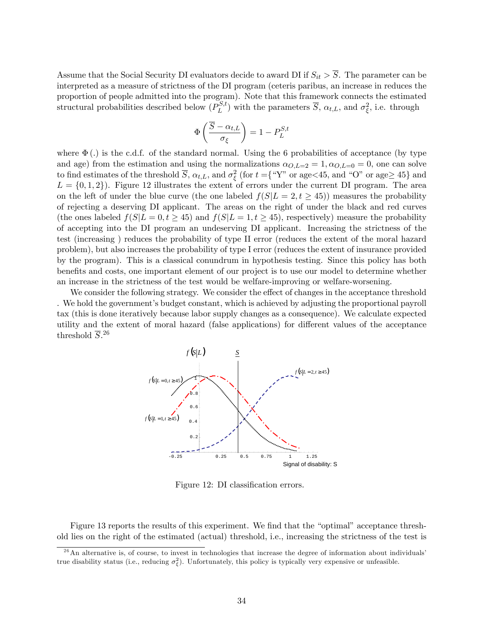Assume that the Social Security DI evaluators decide to award DI if  $S_{it} > \overline{S}$ . The parameter can be interpreted as a measure of strictness of the DI program (ceteris paribus, an increase in reduces the proportion of people admitted into the program). Note that this framework connects the estimated structural probabilities described below  $(P_L^{S,t})$  $L^{S,t}$ ) with the parameters  $\overline{S}$ ,  $\alpha_{t,L}$ , and  $\sigma_{\xi}^2$ , i.e. through

$$
\Phi\left(\frac{\overline{S} - \alpha_{t,L}}{\sigma_{\xi}}\right) = 1 - P_L^{S,t}
$$

where  $\Phi(.)$  is the c.d.f. of the standard normal. Using the 6 probabilities of acceptance (by type and age) from the estimation and using the normalizations  $\alpha_{O,L=2} = 1, \alpha_{O,L=0} = 0$ , one can solve to find estimates of the threshold  $\overline{S}$ ,  $\alpha_{t,L}$ , and  $\sigma_{\xi}^{2}$  (for  $t = \{$  "Y" or age  $\lt$  45, and "O" or age  $\geq$  45} and  $L = \{0, 1, 2\}$ . Figure 12 illustrates the extent of errors under the current DI program. The area on the left of under the blue curve (the one labeled  $f(S|L = 2, t \geq 45)$ ) measures the probability of rejecting a deserving DI applicant. The areas on the right of under the black and red curves (the ones labeled  $f(S|L = 0, t \geq 45)$  and  $f(S|L = 1, t \geq 45)$ , respectively) measure the probability of accepting into the DI program an undeserving DI applicant. Increasing the strictness of the test (increasing ) reduces the probability of type II error (reduces the extent of the moral hazard problem), but also increases the probability of type I error (reduces the extent of insurance provided by the program). This is a classical conundrum in hypothesis testing. Since this policy has both benefits and costs, one important element of our project is to use our model to determine whether an increase in the strictness of the test would be welfare-improving or welfare-worsening.

We consider the following strategy. We consider the effect of changes in the acceptance threshold . We hold the government's budget constant, which is achieved by adjusting the proportional payroll tax (this is done iteratively because labor supply changes as a consequence). We calculate expected utility and the extent of moral hazard (false applications) for different values of the acceptance threshold  $\overline{S}$ <sup>26</sup>



Figure 12: DI classification errors.

Figure 13 reports the results of this experiment. We find that the "optimal" acceptance threshold lies on the right of the estimated (actual) threshold, i.e., increasing the strictness of the test is

 $^{26}$ An alternative is, of course, to invest in technologies that increase the degree of information about individuals true disability status (i.e., reducing  $\sigma_{\xi}^2$ ). Unfortunately, this policy is typically very expensive or unfeasible.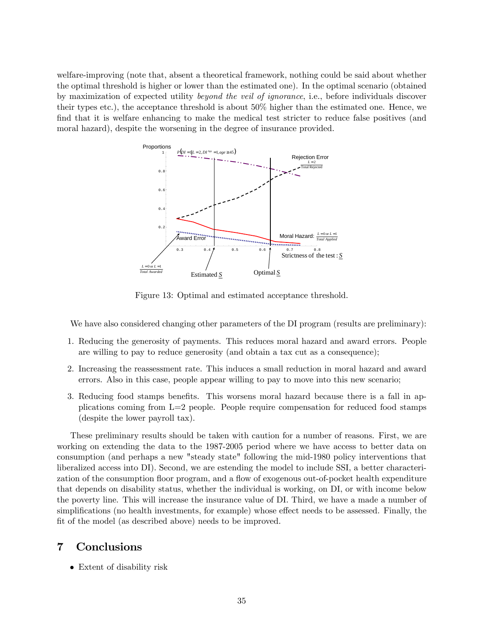welfare-improving (note that, absent a theoretical framework, nothing could be said about whether the optimal threshold is higher or lower than the estimated one). In the optimal scenario (obtained by maximization of expected utility beyond the veil of ignorance, i.e., before individuals discover their types etc.), the acceptance threshold is about 50% higher than the estimated one. Hence, we find that it is welfare enhancing to make the medical test stricter to reduce false positives (and moral hazard), despite the worsening in the degree of insurance provided.



Figure 13: Optimal and estimated acceptance threshold.

We have also considered changing other parameters of the DI program (results are preliminary):

- 1. Reducing the generosity of payments. This reduces moral hazard and award errors. People are willing to pay to reduce generosity (and obtain a tax cut as a consequence);
- 2. Increasing the reassessment rate. This induces a small reduction in moral hazard and award errors. Also in this case, people appear willing to pay to move into this new scenario;
- 3. Reducing food stamps benefits. This worsens moral hazard because there is a fall in applications coming from L=2 people. People require compensation for reduced food stamps (despite the lower payroll tax).

These preliminary results should be taken with caution for a number of reasons. First, we are working on extending the data to the 1987-2005 period where we have access to better data on consumption (and perhaps a new "steady state" following the mid-1980 policy interventions that liberalized access into DI). Second, we are estending the model to include SSI, a better characterization of the consumption floor program, and a flow of exogenous out-of-pocket health expenditure that depends on disability status, whether the individual is working, on DI, or with income below the poverty line. This will increase the insurance value of DI. Third, we have a made a number of simplifications (no health investments, for example) whose effect needs to be assessed. Finally, the fit of the model (as described above) needs to be improved.

# 7 Conclusions

• Extent of disability risk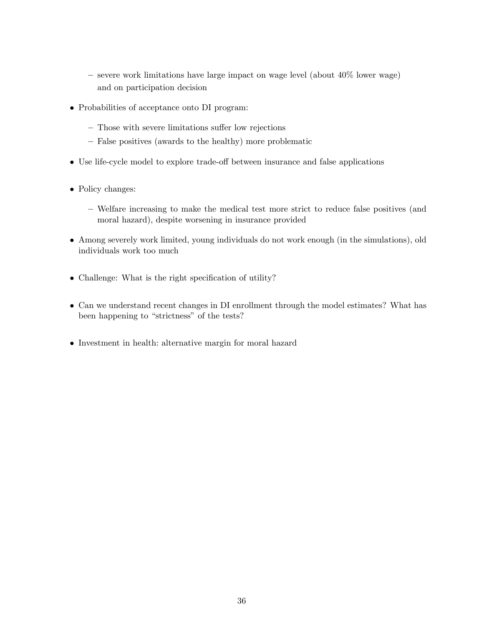- $-$  severe work limitations have large impact on wage level (about  $40\%$  lower wage) and on participation decision
- Probabilities of acceptance onto DI program:
	- Those with severe limitations suffer low rejections
	- False positives (awards to the healthy) more problematic
- Use life-cycle model to explore trade-off between insurance and false applications
- Policy changes:
	- Welfare increasing to make the medical test more strict to reduce false positives (and moral hazard), despite worsening in insurance provided
- Among severely work limited, young individuals do not work enough (in the simulations), old individuals work too much
- $\bullet$  Challenge: What is the right specification of utility?
- Can we understand recent changes in DI enrollment through the model estimates? What has been happening to "strictness" of the tests?
- Investment in health: alternative margin for moral hazard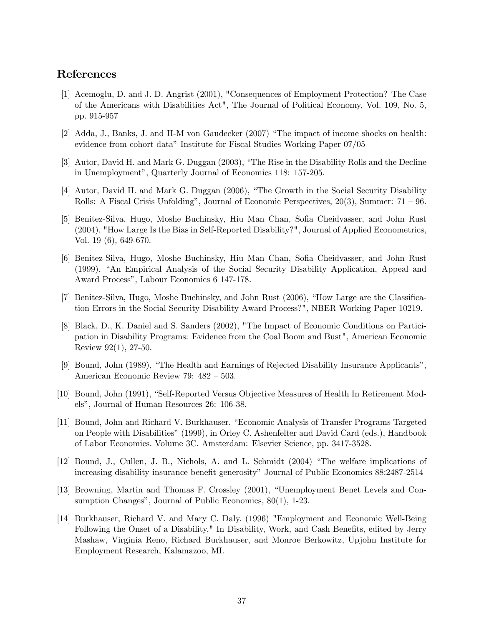# References

- [1] Acemoglu, D. and J. D. Angrist (2001), "Consequences of Employment Protection? The Case of the Americans with Disabilities Act", The Journal of Political Economy, Vol. 109, No. 5, pp. 915-957
- [2] Adda, J., Banks, J. and H-M von Gaudecker  $(2007)$  "The impact of income shocks on health: evidence from cohort dataî Institute for Fiscal Studies Working Paper 07/05
- [3] Autor, David H. and Mark G. Duggan (2003), "The Rise in the Disability Rolls and the Decline in Unemployment", Quarterly Journal of Economics 118: 157-205.
- [4] Autor, David H. and Mark G. Duggan (2006), "The Growth in the Social Security Disability Rolls: A Fiscal Crisis Unfolding", Journal of Economic Perspectives,  $20(3)$ , Summer:  $71 - 96$ .
- [5] Benitez-Silva, Hugo, Moshe Buchinsky, Hiu Man Chan, Sofia Cheidvasser, and John Rust (2004), "How Large Is the Bias in Self-Reported Disability?", Journal of Applied Econometrics, Vol. 19 (6), 649-670.
- [6] Benitez-Silva, Hugo, Moshe Buchinsky, Hiu Man Chan, Sofia Cheidvasser, and John Rust (1999), "An Empirical Analysis of the Social Security Disability Application, Appeal and Award Process", Labour Economics 6 147-178.
- [7] Benitez-Silva, Hugo, Moshe Buchinsky, and John Rust (2006), "How Large are the Classification Errors in the Social Security Disability Award Process?", NBER Working Paper 10219.
- [8] Black, D., K. Daniel and S. Sanders (2002), "The Impact of Economic Conditions on Participation in Disability Programs: Evidence from the Coal Boom and Bust", American Economic Review 92(1), 27-50.
- [9] Bound, John (1989), "The Health and Earnings of Rejected Disability Insurance Applicants", American Economic Review 79:  $482 - 503$ .
- [10] Bound, John (1991), "Self-Reported Versus Objective Measures of Health In Retirement Modelsî, Journal of Human Resources 26: 106-38.
- [11] Bound, John and Richard V. Burkhauser. "Economic Analysis of Transfer Programs Targeted on People with Disabilities" (1999), in Orley C. Ashenfelter and David Card (eds.), Handbook of Labor Economics. Volume 3C. Amsterdam: Elsevier Science, pp. 3417-3528.
- [12] Bound, J., Cullen, J. B., Nichols, A. and L. Schmidt (2004) "The welfare implications of increasing disability insurance benefit generosity" Journal of Public Economics 88:2487-2514
- [13] Browning, Martin and Thomas F. Crossley (2001), "Unemployment Benet Levels and Consumption Changes", Journal of Public Economics,  $80(1)$ , 1-23.
- [14] Burkhauser, Richard V. and Mary C. Daly. (1996) "Employment and Economic Well-Being Following the Onset of a Disability," In Disability, Work, and Cash Benefits, edited by Jerry Mashaw, Virginia Reno, Richard Burkhauser, and Monroe Berkowitz, Upjohn Institute for Employment Research, Kalamazoo, MI.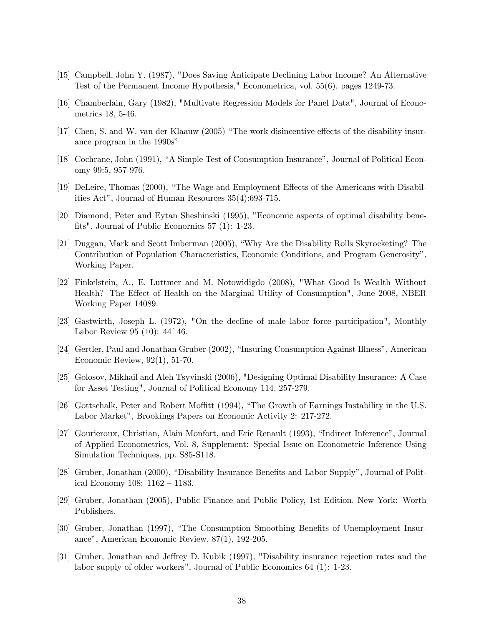- [15] Campbell, John Y. (1987), "Does Saving Anticipate Declining Labor Income? An Alternative Test of the Permanent Income Hypothesis," Econometrica, vol. 55(6), pages 1249-73.
- [16] Chamberlain, Gary (1982), "Multivate Regression Models for Panel Data", Journal of Econometrics 18, 5-46.
- [17] Chen, S. and W. van der Klaauw (2005) "The work disincentive effects of the disability insurance program in the 1990s"
- [18] Cochrane, John (1991), "A Simple Test of Consumption Insurance", Journal of Political Economy 99:5, 957-976.
- [19] DeLeire, Thomas (2000), "The Wage and Employment Effects of the Americans with Disabilities Act", Journal of Human Resources  $35(4):693-715$ .
- [20] Diamond, Peter and Eytan Sheshinski (1995), "Economic aspects of optimal disability benefits", Journal of Public Econornics  $57$  (1): 1-23.
- [21] Duggan, Mark and Scott Imberman (2005), "Why Are the Disability Rolls Skyrocketing? The Contribution of Population Characteristics, Economic Conditions, and Program Generosity", Working Paper.
- [22] Finkelstein, A., E. Luttmer and M. Notowidigdo (2008), "What Good Is Wealth Without Health? The Effect of Health on the Marginal Utility of Consumption", June 2008, NBER Working Paper 14089.
- [23] Gastwirth, Joseph L. (1972), "On the decline of male labor force participation", Monthly Labor Review 95 (10):  $44^{\degree}46$ .
- [24] Gertler, Paul and Jonathan Gruber (2002), "Insuring Consumption Against Illness", American Economic Review, 92(1), 51-70.
- [25] Golosov, Mikhail and Aleh Tsyvinski (2006), "Designing Optimal Disability Insurance: A Case for Asset Testing", Journal of Political Economy 114, 257-279.
- [26] Gottschalk, Peter and Robert Moffitt (1994), "The Growth of Earnings Instability in the U.S. Labor Market", Brookings Papers on Economic Activity 2: 217-272.
- [27] Gourieroux, Christian, Alain Monfort, and Eric Renault (1993), "Indirect Inference", Journal of Applied Econometrics, Vol. 8, Supplement: Special Issue on Econometric Inference Using Simulation Techniques, pp. S85-S118.
- [28] Gruber, Jonathan (2000), "Disability Insurance Benefits and Labor Supply", Journal of Political Economy 108:  $1162 - 1183$ .
- [29] Gruber, Jonathan (2005), Public Finance and Public Policy, 1st Edition. New York: Worth Publishers.
- [30] Gruber, Jonathan (1997), "The Consumption Smoothing Benefits of Unemployment Insurance", American Economic Review, 87(1), 192-205.
- [31] Gruber, Jonathan and Jeffrey D. Kubik (1997), "Disability insurance rejection rates and the labor supply of older workers", Journal of Public Economics 64 (1): 1-23.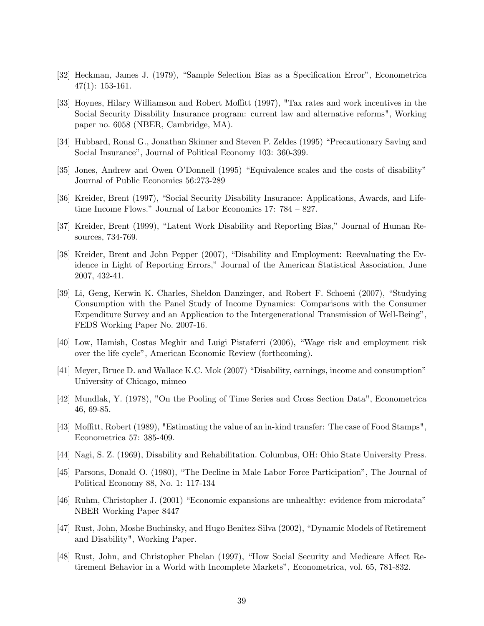- [32] Heckman, James J. (1979), "Sample Selection Bias as a Specification Error", Econometrica 47(1): 153-161.
- [33] Hoynes, Hilary Williamson and Robert Moffitt (1997), "Tax rates and work incentives in the Social Security Disability Insurance program: current law and alternative reforms", Working paper no. 6058 (NBER, Cambridge, MA).
- [34] Hubbard, Ronal G., Jonathan Skinner and Steven P. Zeldes (1995) "Precautionary Saving and Social Insurance", Journal of Political Economy 103: 360-399.
- [35] Jones, Andrew and Owen O'Donnell (1995) "Equivalence scales and the costs of disability" Journal of Public Economics 56:273-289
- [36] Kreider, Brent (1997), "Social Security Disability Insurance: Applications, Awards, and Lifetime Income Flows." Journal of Labor Economics 17:  $784 - 827$ .
- [37] Kreider, Brent (1999), "Latent Work Disability and Reporting Bias," Journal of Human Resources, 734-769.
- [38] Kreider, Brent and John Pepper (2007), "Disability and Employment: Reevaluating the Evidence in Light of Reporting Errors," Journal of the American Statistical Association, June 2007, 432-41.
- [39] Li, Geng, Kerwin K. Charles, Sheldon Danzinger, and Robert F. Schoeni (2007), "Studying Consumption with the Panel Study of Income Dynamics: Comparisons with the Consumer Expenditure Survey and an Application to the Intergenerational Transmission of Well-Being". FEDS Working Paper No. 2007-16.
- [40] Low, Hamish, Costas Meghir and Luigi Pistaferri (2006), "Wage risk and employment risk over the life cycle", American Economic Review (forthcoming).
- [41] Meyer, Bruce D. and Wallace K.C. Mok (2007) "Disability, earnings, income and consumption" University of Chicago, mimeo
- [42] Mundlak, Y. (1978), "On the Pooling of Time Series and Cross Section Data", Econometrica 46, 69-85.
- [43] Moffitt, Robert (1989), "Estimating the value of an in-kind transfer: The case of Food Stamps". Econometrica 57: 385-409.
- [44] Nagi, S. Z. (1969), Disability and Rehabilitation. Columbus, OH: Ohio State University Press.
- [45] Parsons, Donald O. (1980), "The Decline in Male Labor Force Participation", The Journal of Political Economy 88, No. 1: 117-134
- $[46]$  Ruhm, Christopher J. (2001) "Economic expansions are unhealthy: evidence from microdata" NBER Working Paper 8447
- [47] Rust, John, Moshe Buchinsky, and Hugo Benitez-Silva (2002), "Dynamic Models of Retirement and Disability", Working Paper.
- [48] Rust, John, and Christopher Phelan (1997), "How Social Security and Medicare Affect Retirement Behavior in a World with Incomplete Marketsî, Econometrica, vol. 65, 781-832.